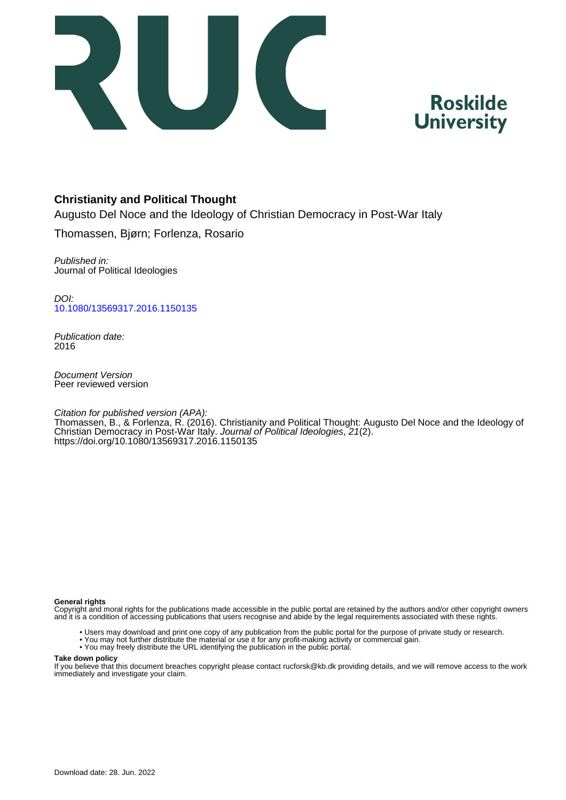



# **Christianity and Political Thought**

Augusto Del Noce and the Ideology of Christian Democracy in Post-War Italy

Thomassen, Bjørn; Forlenza, Rosario

Published in: Journal of Political Ideologies

DOI: [10.1080/13569317.2016.1150135](https://doi.org/10.1080/13569317.2016.1150135)

Publication date: 2016

Document Version Peer reviewed version

Citation for published version (APA):

Thomassen, B., & Forlenza, R. (2016). Christianity and Political Thought: Augusto Del Noce and the Ideology of Christian Democracy in Post-War Italy. Journal of Political Ideologies, 21(2). <https://doi.org/10.1080/13569317.2016.1150135>

#### **General rights**

Copyright and moral rights for the publications made accessible in the public portal are retained by the authors and/or other copyright owners and it is a condition of accessing publications that users recognise and abide by the legal requirements associated with these rights.

- Users may download and print one copy of any publication from the public portal for the purpose of private study or research.
- You may not further distribute the material or use it for any profit-making activity or commercial gain.
- You may freely distribute the URL identifying the publication in the public portal.

#### **Take down policy**

If you believe that this document breaches copyright please contact rucforsk@kb.dk providing details, and we will remove access to the work immediately and investigate your claim.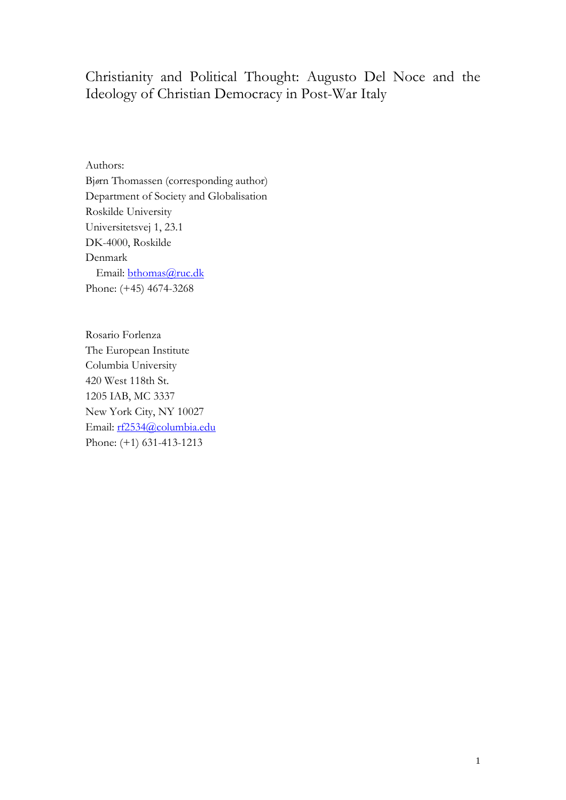# Christianity and Political Thought: Augusto Del Noce and the Ideology of Christian Democracy in Post-War Italy

Authors: Bj*ø*rn Thomassen (corresponding author) Department of Society and Globalisation Roskilde University Universitetsvej 1, 23.1 DK-4000, Roskilde Denmark Email: [bthomas@ruc.dk](mailto:bthomas@ruc.dk) Phone: (+45) 4674-3268

Rosario Forlenza The European Institute Columbia University 420 West 118th St. 1205 IAB, MC 3337 New York City, NY 10027 Email: [rf2534@columbia.edu](mailto:rf2534@columbia.edu) Phone: (+1) 631-413-1213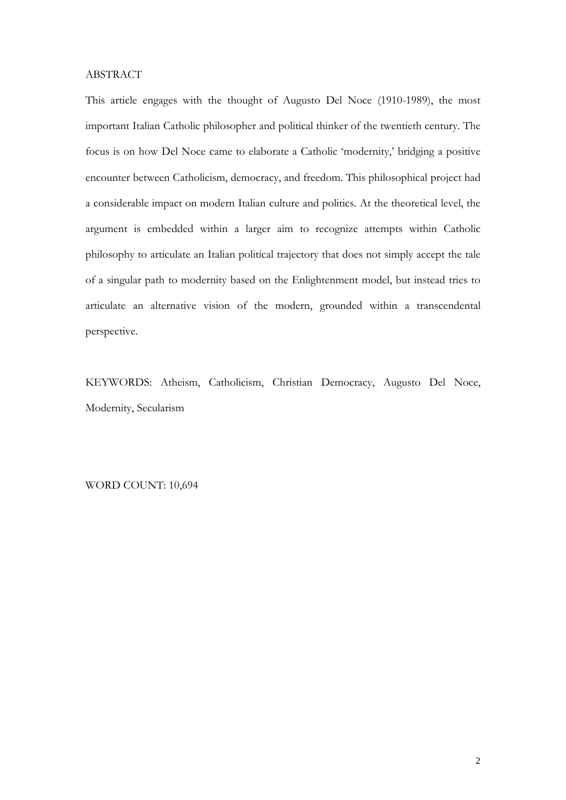## ABSTRACT

This article engages with the thought of Augusto Del Noce (1910-1989), the most important Italian Catholic philosopher and political thinker of the twentieth century. The focus is on how Del Noce came to elaborate a Catholic 'modernity,' bridging a positive encounter between Catholicism, democracy, and freedom. This philosophical project had a considerable impact on modern Italian culture and politics. At the theoretical level, the argument is embedded within a larger aim to recognize attempts within Catholic philosophy to articulate an Italian political trajectory that does not simply accept the tale of a singular path to modernity based on the Enlightenment model, but instead tries to articulate an alternative vision of the modern, grounded within a transcendental perspective.

KEYWORDS: Atheism, Catholicism, Christian Democracy, Augusto Del Noce, Modernity, Secularism

WORD COUNT: 10,694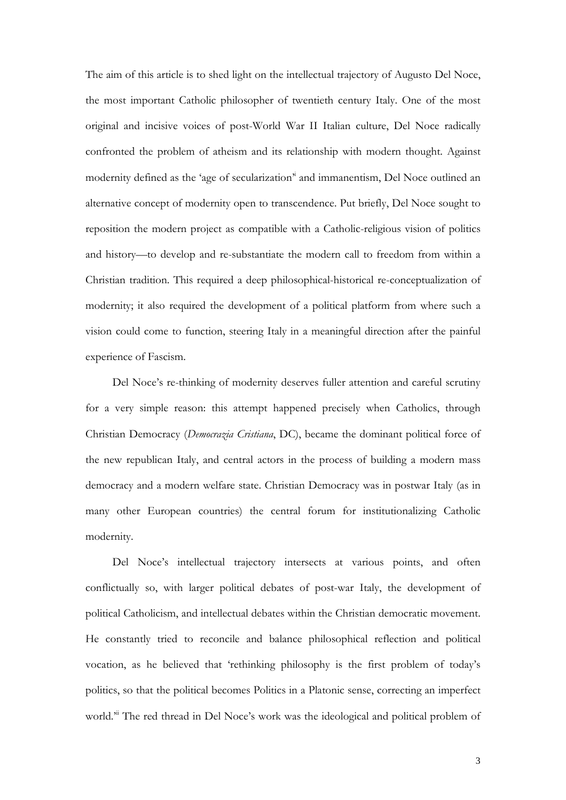The aim of this article is to shed light on the intellectual trajectory of Augusto Del Noce, the most important Catholic philosopher of twentieth century Italy. One of the most original and incisive voices of post-World War II Italian culture, Del Noce radically confronted the problem of atheism and its relationship with modern thought. Against modernity defined as the 'age of secularization'i and immanentism, Del Noce outlined an alternative concept of modernity open to transcendence. Put briefly, Del Noce sought to reposition the modern project as compatible with a Catholic-religious vision of politics and history—to develop and re-substantiate the modern call to freedom from within a Christian tradition. This required a deep philosophical-historical re-conceptualization of modernity; it also required the development of a political platform from where such a vision could come to function, steering Italy in a meaningful direction after the painful experience of Fascism.

Del Noce's re-thinking of modernity deserves fuller attention and careful scrutiny for a very simple reason: this attempt happened precisely when Catholics, through Christian Democracy (*Democrazia Cristiana*, DC), became the dominant political force of the new republican Italy, and central actors in the process of building a modern mass democracy and a modern welfare state. Christian Democracy was in postwar Italy (as in many other European countries) the central forum for institutionalizing Catholic modernity.

Del Noce's intellectual trajectory intersects at various points, and often conflictually so, with larger political debates of post-war Italy, the development of political Catholicism, and intellectual debates within the Christian democratic movement. He constantly tried to reconcile and balance philosophical reflection and political vocation, as he believed that 'rethinking philosophy is the first problem of today's politics, so that the political becomes Politics in a Platonic sense, correcting an imperfect world.<sup>3ii</sup> The red thread in Del Noce's work was the ideological and political problem of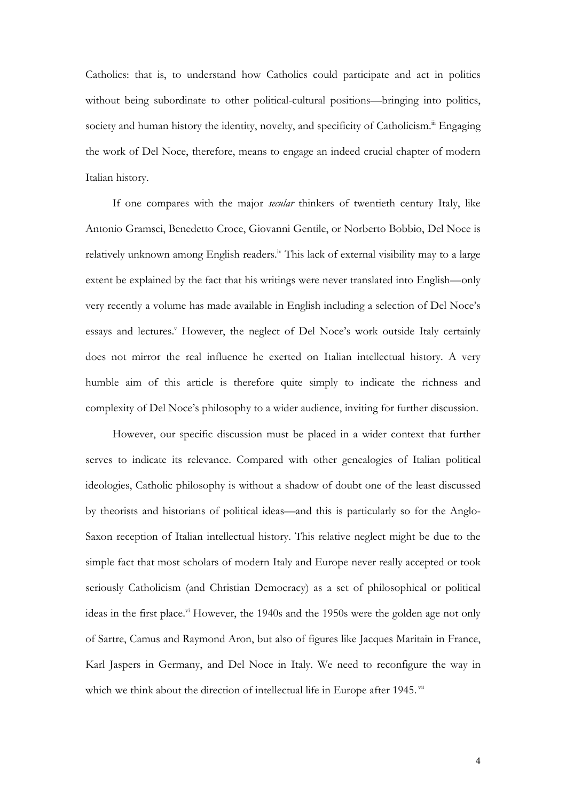Catholics: that is, to understand how Catholics could participate and act in politics without being subordinate to other political-cultural positions—bringing into politics, society and human history the identity, novelty, and specificity of Catholicism.<sup>iii</sup> Engaging the work of Del Noce, therefore, means to engage an indeed crucial chapter of modern Italian history.

If one compares with the major *secular* thinkers of twentieth century Italy, like Antonio Gramsci, Benedetto Croce, Giovanni Gentile, or Norberto Bobbio, Del Noce is relatively unknown among English readers.<sup>iv</sup> This lack of external visibility may to a large extent be explained by the fact that his writings were never translated into English—only very recently a volume has made available in English including a selection of Del Noce's essays and lectures.<sup>v</sup> However, the neglect of Del Noce's work outside Italy certainly does not mirror the real influence he exerted on Italian intellectual history. A very humble aim of this article is therefore quite simply to indicate the richness and complexity of Del Noce's philosophy to a wider audience, inviting for further discussion.

However, our specific discussion must be placed in a wider context that further serves to indicate its relevance. Compared with other genealogies of Italian political ideologies, Catholic philosophy is without a shadow of doubt one of the least discussed by theorists and historians of political ideas—and this is particularly so for the Anglo-Saxon reception of Italian intellectual history. This relative neglect might be due to the simple fact that most scholars of modern Italy and Europe never really accepted or took seriously Catholicism (and Christian Democracy) as a set of philosophical or political ideas in the first place.<sup>vi</sup> However, the 1940s and the 1950s were the golden age not only of Sartre, Camus and Raymond Aron, but also of figures like Jacques Maritain in France, Karl Jaspers in Germany, and Del Noce in Italy. We need to reconfigure the way in which we think about the direction of intellectual life in Europe after 1945. vii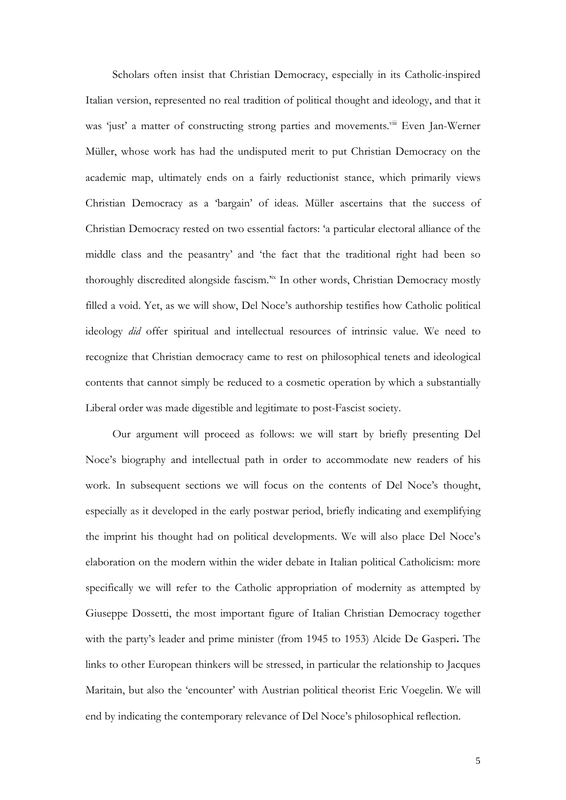Scholars often insist that Christian Democracy, especially in its Catholic-inspired Italian version, represented no real tradition of political thought and ideology, and that it was 'just' a matter of constructing strong parties and movements.<sup>viii</sup> Even Jan-Werner Müller, whose work has had the undisputed merit to put Christian Democracy on the academic map, ultimately ends on a fairly reductionist stance, which primarily views Christian Democracy as a 'bargain' of ideas. Müller ascertains that the success of Christian Democracy rested on two essential factors: 'a particular electoral alliance of the middle class and the peasantry' and 'the fact that the traditional right had been so thoroughly discredited alongside fascism.<sup>3ix</sup> In other words, Christian Democracy mostly filled a void. Yet, as we will show, Del Noce's authorship testifies how Catholic political ideology *did* offer spiritual and intellectual resources of intrinsic value. We need to recognize that Christian democracy came to rest on philosophical tenets and ideological contents that cannot simply be reduced to a cosmetic operation by which a substantially Liberal order was made digestible and legitimate to post-Fascist society.

Our argument will proceed as follows: we will start by briefly presenting Del Noce's biography and intellectual path in order to accommodate new readers of his work. In subsequent sections we will focus on the contents of Del Noce's thought, especially as it developed in the early postwar period, briefly indicating and exemplifying the imprint his thought had on political developments. We will also place Del Noce's elaboration on the modern within the wider debate in Italian political Catholicism: more specifically we will refer to the Catholic appropriation of modernity as attempted by Giuseppe Dossetti, the most important figure of Italian Christian Democracy together with the party's leader and prime minister (from 1945 to 1953) Alcide De Gasperi**.** The links to other European thinkers will be stressed, in particular the relationship to Jacques Maritain, but also the 'encounter' with Austrian political theorist Eric Voegelin. We will end by indicating the contemporary relevance of Del Noce's philosophical reflection.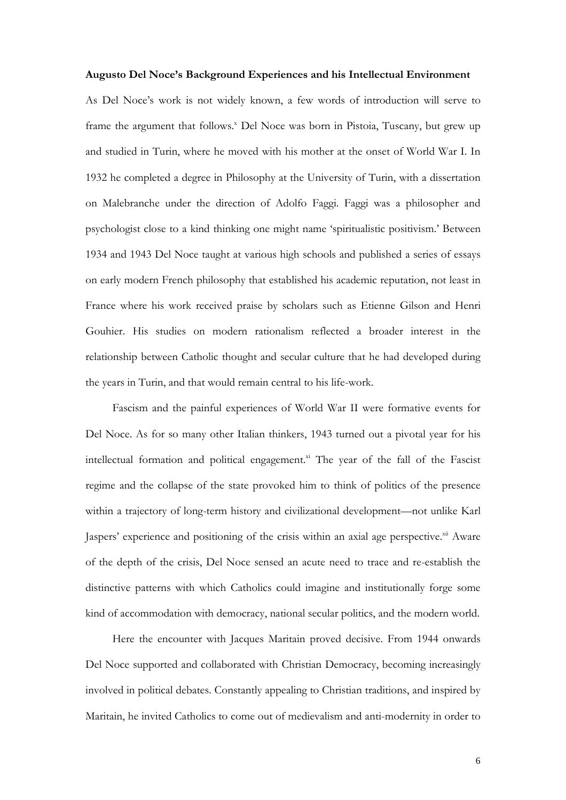### **Augusto Del Noce's Background Experiences and his Intellectual Environment**

As Del Noce's work is not widely known, a few words of introduction will serve to frame the argument that follows.<sup>x</sup> Del Noce was born in Pistoia, Tuscany, but grew up and studied in Turin, where he moved with his mother at the onset of World War I. In 1932 he completed a degree in Philosophy at the University of Turin, with a dissertation on Malebranche under the direction of Adolfo Faggi. Faggi was a philosopher and psychologist close to a kind thinking one might name 'spiritualistic positivism.' Between 1934 and 1943 Del Noce taught at various high schools and published a series of essays on early modern French philosophy that established his academic reputation, not least in France where his work received praise by scholars such as Etienne Gilson and Henri Gouhier. His studies on modern rationalism reflected a broader interest in the relationship between Catholic thought and secular culture that he had developed during the years in Turin, and that would remain central to his life-work.

Fascism and the painful experiences of World War II were formative events for Del Noce. As for so many other Italian thinkers, 1943 turned out a pivotal year for his intellectual formation and political engagement. $x$ <sup>i</sup> The year of the fall of the Fascist regime and the collapse of the state provoked him to think of politics of the presence within a trajectory of long-term history and civilizational development—not unlike Karl Jaspers' experience and positioning of the crisis within an axial age perspective.<sup>xii</sup> Aware of the depth of the crisis, Del Noce sensed an acute need to trace and re-establish the distinctive patterns with which Catholics could imagine and institutionally forge some kind of accommodation with democracy, national secular politics, and the modern world.

Here the encounter with Jacques Maritain proved decisive. From 1944 onwards Del Noce supported and collaborated with Christian Democracy, becoming increasingly involved in political debates. Constantly appealing to Christian traditions, and inspired by Maritain, he invited Catholics to come out of medievalism and anti-modernity in order to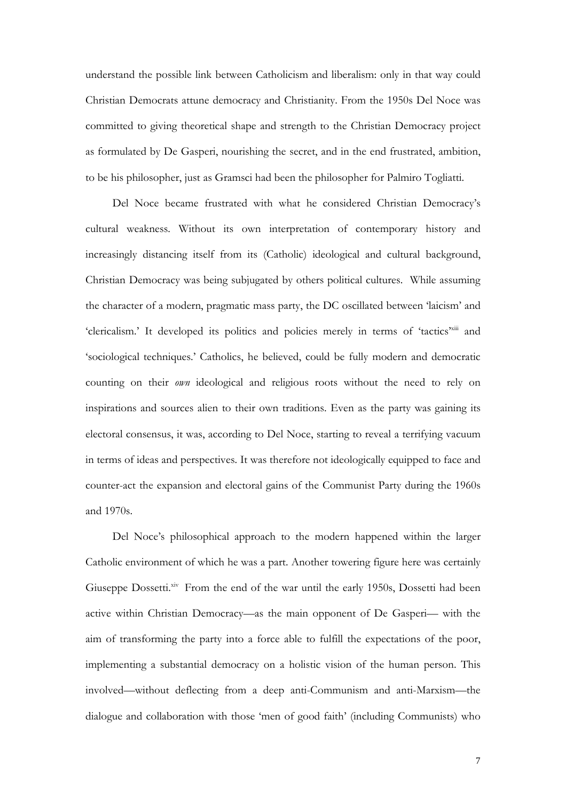understand the possible link between Catholicism and liberalism: only in that way could Christian Democrats attune democracy and Christianity. From the 1950s Del Noce was committed to giving theoretical shape and strength to the Christian Democracy project as formulated by De Gasperi, nourishing the secret, and in the end frustrated, ambition, to be his philosopher, just as Gramsci had been the philosopher for Palmiro Togliatti.

Del Noce became frustrated with what he considered Christian Democracy's cultural weakness. Without its own interpretation of contemporary history and increasingly distancing itself from its (Catholic) ideological and cultural background, Christian Democracy was being subjugated by others political cultures. While assuming the character of a modern, pragmatic mass party, the DC oscillated between 'laicism' and 'clericalism.' It developed its politics and policies merely in terms of 'tactics'xiii and 'sociological techniques.' Catholics, he believed, could be fully modern and democratic counting on their *own* ideological and religious roots without the need to rely on inspirations and sources alien to their own traditions. Even as the party was gaining its electoral consensus, it was, according to Del Noce, starting to reveal a terrifying vacuum in terms of ideas and perspectives. It was therefore not ideologically equipped to face and counter-act the expansion and electoral gains of the Communist Party during the 1960s and 1970s.

Del Noce's philosophical approach to the modern happened within the larger Catholic environment of which he was a part. Another towering figure here was certainly Giuseppe Dossetti.<sup>xiv</sup> From the end of the war until the early 1950s, Dossetti had been active within Christian Democracy—as the main opponent of De Gasperi— with the aim of transforming the party into a force able to fulfill the expectations of the poor, implementing a substantial democracy on a holistic vision of the human person. This involved—without deflecting from a deep anti-Communism and anti-Marxism—the dialogue and collaboration with those 'men of good faith' (including Communists) who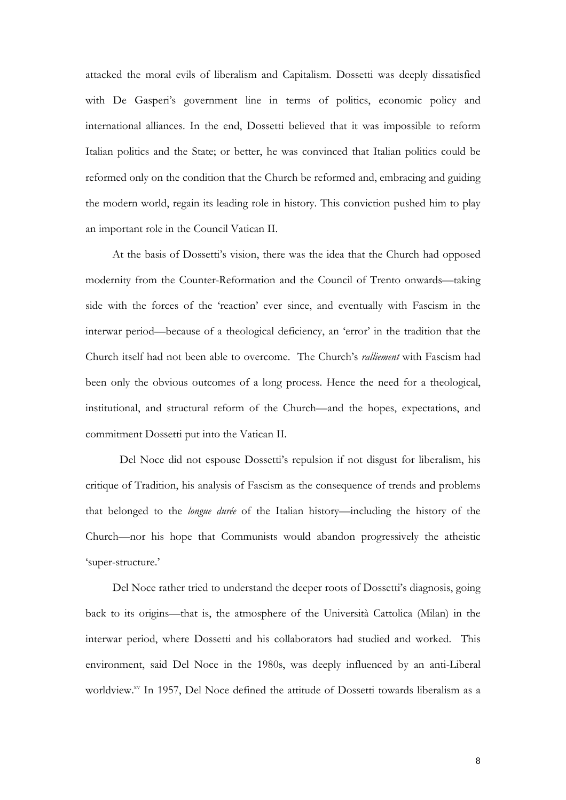attacked the moral evils of liberalism and Capitalism. Dossetti was deeply dissatisfied with De Gasperi's government line in terms of politics, economic policy and international alliances. In the end, Dossetti believed that it was impossible to reform Italian politics and the State; or better, he was convinced that Italian politics could be reformed only on the condition that the Church be reformed and, embracing and guiding the modern world, regain its leading role in history. This conviction pushed him to play an important role in the Council Vatican II.

At the basis of Dossetti's vision, there was the idea that the Church had opposed modernity from the Counter-Reformation and the Council of Trento onwards—taking side with the forces of the 'reaction' ever since, and eventually with Fascism in the interwar period—because of a theological deficiency, an 'error' in the tradition that the Church itself had not been able to overcome. The Church's *ralliement* with Fascism had been only the obvious outcomes of a long process. Hence the need for a theological, institutional, and structural reform of the Church—and the hopes, expectations, and commitment Dossetti put into the Vatican II.

Del Noce did not espouse Dossetti's repulsion if not disgust for liberalism, his critique of Tradition, his analysis of Fascism as the consequence of trends and problems that belonged to the *longue durée* of the Italian history—including the history of the Church—nor his hope that Communists would abandon progressively the atheistic 'super-structure.'

Del Noce rather tried to understand the deeper roots of Dossetti's diagnosis, going back to its origins—that is, the atmosphere of the Università Cattolica (Milan) in the interwar period, where Dossetti and his collaborators had studied and worked. This environment, said Del Noce in the 1980s, was deeply influenced by an anti-Liberal worldview.xv In 1957, Del Noce defined the attitude of Dossetti towards liberalism as a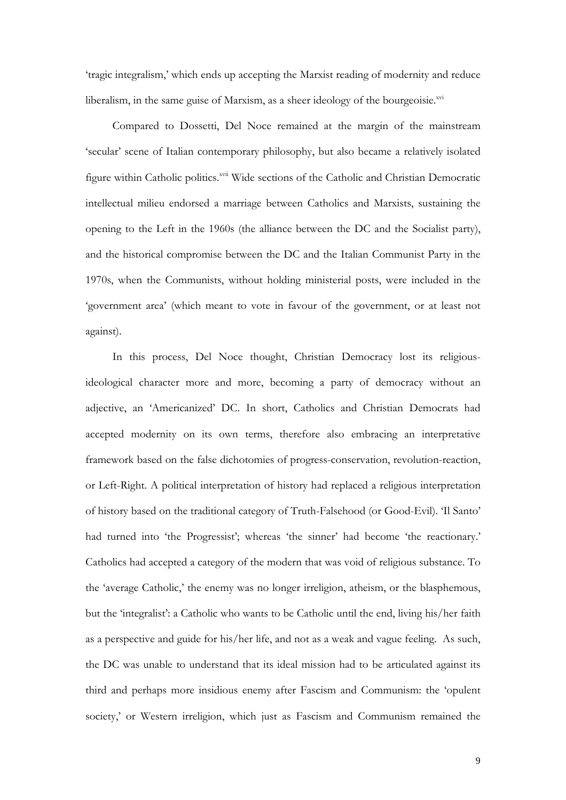'tragic integralism,' which ends up accepting the Marxist reading of modernity and reduce liberalism, in the same guise of Marxism, as a sheer ideology of the bourgeoisie.xvi

Compared to Dossetti, Del Noce remained at the margin of the mainstream 'secular' scene of Italian contemporary philosophy, but also became a relatively isolated figure within Catholic politics.<sup>xvii</sup> Wide sections of the Catholic and Christian Democratic intellectual milieu endorsed a marriage between Catholics and Marxists, sustaining the opening to the Left in the 1960s (the alliance between the DC and the Socialist party), and the historical compromise between the DC and the Italian Communist Party in the 1970s, when the Communists, without holding ministerial posts, were included in the 'government area' (which meant to vote in favour of the government, or at least not against).

In this process, Del Noce thought, Christian Democracy lost its religiousideological character more and more, becoming a party of democracy without an adjective, an 'Americanized' DC. In short, Catholics and Christian Democrats had accepted modernity on its own terms, therefore also embracing an interpretative framework based on the false dichotomies of progress-conservation, revolution-reaction, or Left-Right. A political interpretation of history had replaced a religious interpretation of history based on the traditional category of Truth-Falsehood (or Good-Evil). 'Il Santo' had turned into 'the Progressist'; whereas 'the sinner' had become 'the reactionary.' Catholics had accepted a category of the modern that was void of religious substance. To the 'average Catholic,' the enemy was no longer irreligion, atheism, or the blasphemous, but the 'integralist': a Catholic who wants to be Catholic until the end, living his/her faith as a perspective and guide for his/her life, and not as a weak and vague feeling. As such, the DC was unable to understand that its ideal mission had to be articulated against its third and perhaps more insidious enemy after Fascism and Communism: the 'opulent society,' or Western irreligion, which just as Fascism and Communism remained the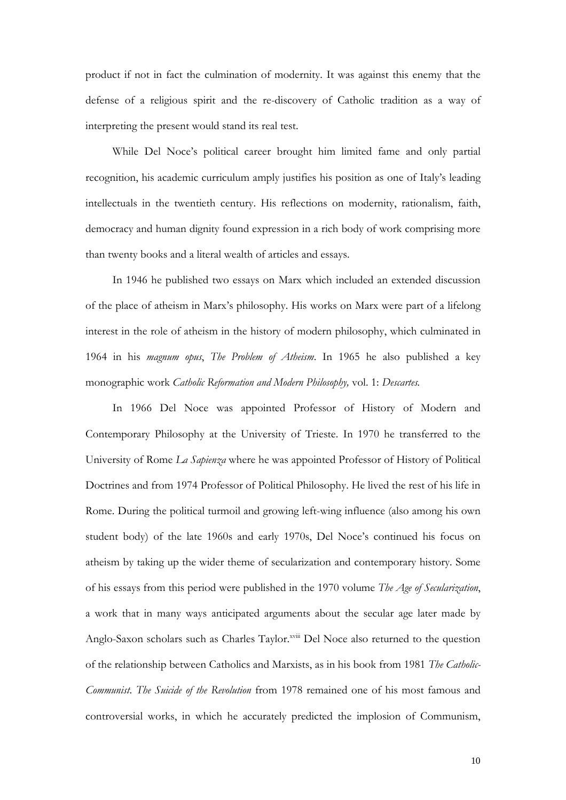product if not in fact the culmination of modernity. It was against this enemy that the defense of a religious spirit and the re-discovery of Catholic tradition as a way of interpreting the present would stand its real test.

While Del Noce's political career brought him limited fame and only partial recognition, his academic curriculum amply justifies his position as one of Italy's leading intellectuals in the twentieth century. His reflections on modernity, rationalism, faith, democracy and human dignity found expression in a rich body of work comprising more than twenty books and a literal wealth of articles and essays.

In 1946 he published two essays on Marx which included an extended discussion of the place of atheism in Marx's philosophy. His works on Marx were part of a lifelong interest in the role of atheism in the history of modern philosophy, which culminated in 1964 in his *magnum opus*, *The Problem of Atheism*. In 1965 he also published a key monographic work *Catholic Reformation and Modern Philosophy,* vol. 1: *Descartes.*

In 1966 Del Noce was appointed Professor of History of Modern and Contemporary Philosophy at the University of Trieste. In 1970 he transferred to the University of Rome *La Sapienza* where he was appointed Professor of History of Political Doctrines and from 1974 Professor of Political Philosophy. He lived the rest of his life in Rome. During the political turmoil and growing left-wing influence (also among his own student body) of the late 1960s and early 1970s, Del Noce's continued his focus on atheism by taking up the wider theme of secularization and contemporary history. Some of his essays from this period were published in the 1970 volume *The Age of Secularization*, a work that in many ways anticipated arguments about the secular age later made by Anglo-Saxon scholars such as Charles Taylor.<sup>xviii</sup> Del Noce also returned to the question of the relationship between Catholics and Marxists, as in his book from 1981 *The Catholic-Communist*. *The Suicide of the Revolution* from 1978 remained one of his most famous and controversial works, in which he accurately predicted the implosion of Communism,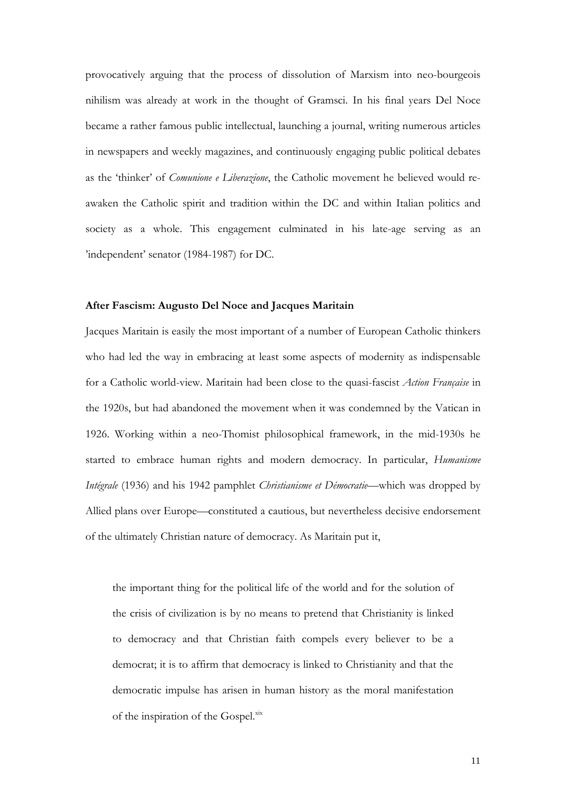provocatively arguing that the process of dissolution of Marxism into neo-bourgeois nihilism was already at work in the thought of Gramsci. In his final years Del Noce became a rather famous public intellectual, launching a journal, writing numerous articles in newspapers and weekly magazines, and continuously engaging public political debates as the 'thinker' of *Comunione e Liberazione*, the Catholic movement he believed would reawaken the Catholic spirit and tradition within the DC and within Italian politics and society as a whole. This engagement culminated in his late-age serving as an 'independent' senator (1984-1987) for DC.

# **After Fascism: Augusto Del Noce and Jacques Maritain**

Jacques Maritain is easily the most important of a number of European Catholic thinkers who had led the way in embracing at least some aspects of modernity as indispensable for a Catholic world-view. Maritain had been close to the quasi-fascist *Action Française* in the 1920s, but had abandoned the movement when it was condemned by the Vatican in 1926. Working within a neo-Thomist philosophical framework, in the mid-1930s he started to embrace human rights and modern democracy. In particular, *Humanisme Intégrale* (1936) and his 1942 pamphlet *Christianisme et Démocratie*—which was dropped by Allied plans over Europe—constituted a cautious, but nevertheless decisive endorsement of the ultimately Christian nature of democracy. As Maritain put it,

the important thing for the political life of the world and for the solution of the crisis of civilization is by no means to pretend that Christianity is linked to democracy and that Christian faith compels every believer to be a democrat; it is to affirm that democracy is linked to Christianity and that the democratic impulse has arisen in human history as the moral manifestation of the inspiration of the Gospel.<sup>xix</sup>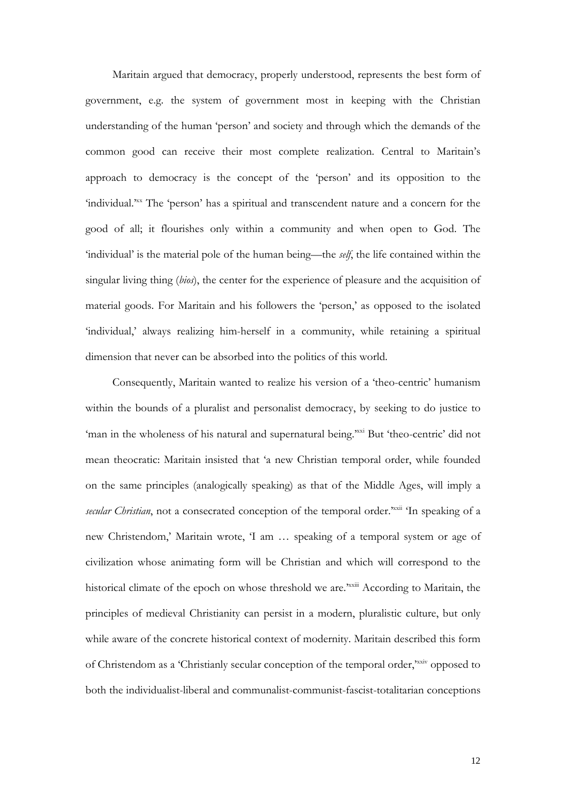Maritain argued that democracy, properly understood, represents the best form of government, e.g. the system of government most in keeping with the Christian understanding of the human 'person' and society and through which the demands of the common good can receive their most complete realization. Central to Maritain's approach to democracy is the concept of the 'person' and its opposition to the 'individual.'xx The 'person' has a spiritual and transcendent nature and a concern for the good of all; it flourishes only within a community and when open to God. The 'individual' is the material pole of the human being—the *self*, the life contained within the singular living thing (*bios*), the center for the experience of pleasure and the acquisition of material goods. For Maritain and his followers the 'person,' as opposed to the isolated 'individual,' always realizing him-herself in a community, while retaining a spiritual dimension that never can be absorbed into the politics of this world.

Consequently, Maritain wanted to realize his version of a 'theo-centric' humanism within the bounds of a pluralist and personalist democracy, by seeking to do justice to 'man in the wholeness of his natural and supernatural being.'xxi But 'theo-centric' did not mean theocratic: Maritain insisted that 'a new Christian temporal order, while founded on the same principles (analogically speaking) as that of the Middle Ages, will imply a secular Christian, not a consecrated conception of the temporal order.<sup>xxxii</sup> 'In speaking of a new Christendom,' Maritain wrote, 'I am … speaking of a temporal system or age of civilization whose animating form will be Christian and which will correspond to the historical climate of the epoch on whose threshold we are.<sup>xxiii</sup> According to Maritain, the principles of medieval Christianity can persist in a modern, pluralistic culture, but only while aware of the concrete historical context of modernity. Maritain described this form of Christendom as a 'Christianly secular conception of the temporal order,'xxiv opposed to both the individualist-liberal and communalist-communist-fascist-totalitarian conceptions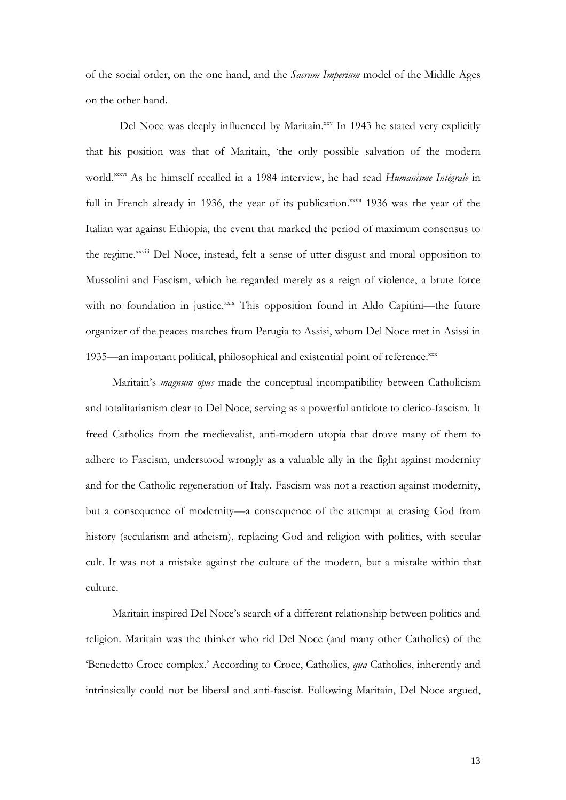of the social order, on the one hand, and the *Sacrum Imperium* model of the Middle Ages on the other hand.

Del Noce was deeply influenced by Maritain.<sup>xxv</sup> In 1943 he stated very explicitly that his position was that of Maritain, 'the only possible salvation of the modern world.' xxvi As he himself recalled in a 1984 interview, he had read *Humanisme Intégrale* in full in French already in 1936, the year of its publication.<sup>xxvii</sup> 1936 was the year of the Italian war against Ethiopia, the event that marked the period of maximum consensus to the regime. xxviii Del Noce, instead, felt a sense of utter disgust and moral opposition to Mussolini and Fascism, which he regarded merely as a reign of violence, a brute force with no foundation in justice.xxix This opposition found in Aldo Capitini—the future organizer of the peaces marches from Perugia to Assisi, whom Del Noce met in Asissi in 1935—an important political, philosophical and existential point of reference.xxx

Maritain's *magnum opus* made the conceptual incompatibility between Catholicism and totalitarianism clear to Del Noce, serving as a powerful antidote to clerico-fascism. It freed Catholics from the medievalist, anti-modern utopia that drove many of them to adhere to Fascism, understood wrongly as a valuable ally in the fight against modernity and for the Catholic regeneration of Italy. Fascism was not a reaction against modernity, but a consequence of modernity—a consequence of the attempt at erasing God from history (secularism and atheism), replacing God and religion with politics, with secular cult. It was not a mistake against the culture of the modern, but a mistake within that culture.

Maritain inspired Del Noce's search of a different relationship between politics and religion. Maritain was the thinker who rid Del Noce (and many other Catholics) of the 'Benedetto Croce complex.' According to Croce, Catholics, *qua* Catholics, inherently and intrinsically could not be liberal and anti-fascist. Following Maritain, Del Noce argued,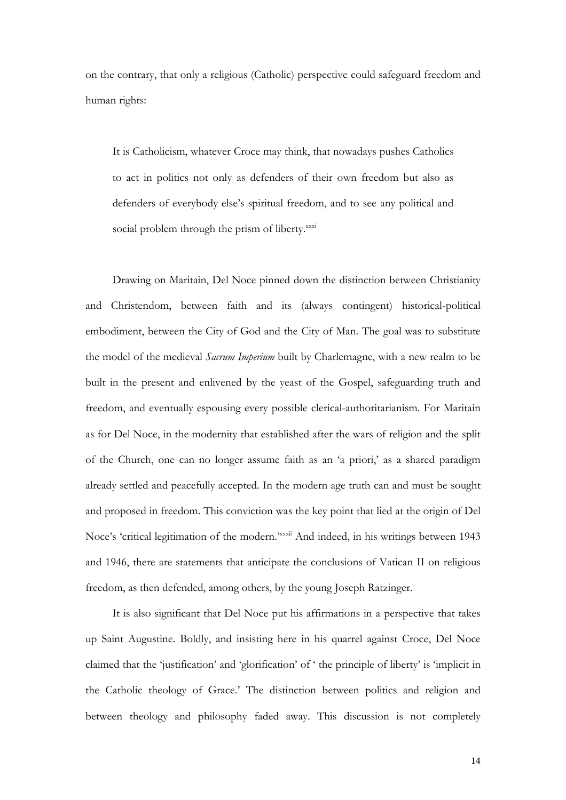on the contrary, that only a religious (Catholic) perspective could safeguard freedom and human rights:

It is Catholicism, whatever Croce may think, that nowadays pushes Catholics to act in politics not only as defenders of their own freedom but also as defenders of everybody else's spiritual freedom, and to see any political and social problem through the prism of liberty. XXXi

Drawing on Maritain, Del Noce pinned down the distinction between Christianity and Christendom, between faith and its (always contingent) historical-political embodiment, between the City of God and the City of Man. The goal was to substitute the model of the medieval *Sacrum Imperium* built by Charlemagne, with a new realm to be built in the present and enlivened by the yeast of the Gospel, safeguarding truth and freedom, and eventually espousing every possible clerical-authoritarianism. For Maritain as for Del Noce, in the modernity that established after the wars of religion and the split of the Church, one can no longer assume faith as an 'a priori,' as a shared paradigm already settled and peacefully accepted. In the modern age truth can and must be sought and proposed in freedom. This conviction was the key point that lied at the origin of Del Noce's 'critical legitimation of the modern.<sup>xxxxii</sup> And indeed, in his writings between 1943 and 1946, there are statements that anticipate the conclusions of Vatican II on religious freedom, as then defended, among others, by the young Joseph Ratzinger.

It is also significant that Del Noce put his affirmations in a perspective that takes up Saint Augustine. Boldly, and insisting here in his quarrel against Croce, Del Noce claimed that the 'justification' and 'glorification' of ' the principle of liberty' is 'implicit in the Catholic theology of Grace.' The distinction between politics and religion and between theology and philosophy faded away. This discussion is not completely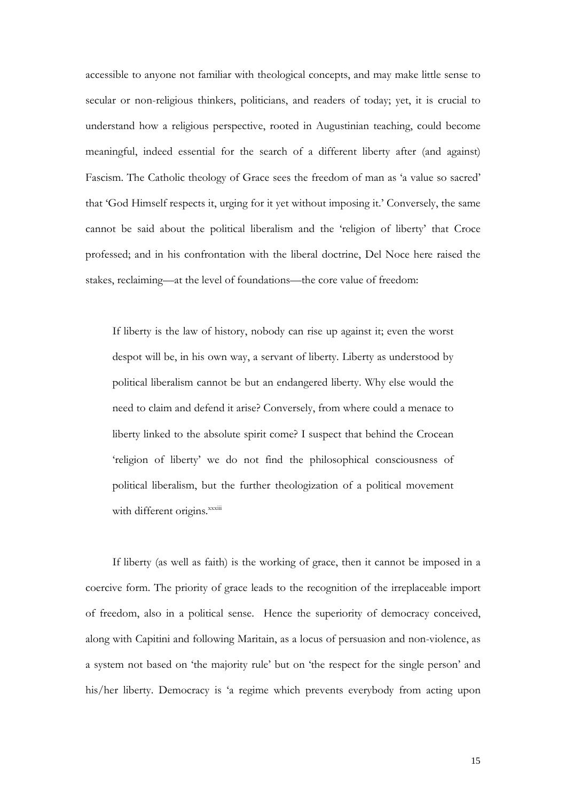accessible to anyone not familiar with theological concepts, and may make little sense to secular or non-religious thinkers, politicians, and readers of today; yet, it is crucial to understand how a religious perspective, rooted in Augustinian teaching, could become meaningful, indeed essential for the search of a different liberty after (and against) Fascism. The Catholic theology of Grace sees the freedom of man as 'a value so sacred' that 'God Himself respects it, urging for it yet without imposing it.' Conversely, the same cannot be said about the political liberalism and the 'religion of liberty' that Croce professed; and in his confrontation with the liberal doctrine, Del Noce here raised the stakes, reclaiming—at the level of foundations—the core value of freedom:

If liberty is the law of history, nobody can rise up against it; even the worst despot will be, in his own way, a servant of liberty. Liberty as understood by political liberalism cannot be but an endangered liberty. Why else would the need to claim and defend it arise? Conversely, from where could a menace to liberty linked to the absolute spirit come? I suspect that behind the Crocean 'religion of liberty' we do not find the philosophical consciousness of political liberalism, but the further theologization of a political movement with different origins. xxxiii

If liberty (as well as faith) is the working of grace, then it cannot be imposed in a coercive form. The priority of grace leads to the recognition of the irreplaceable import of freedom, also in a political sense. Hence the superiority of democracy conceived, along with Capitini and following Maritain, as a locus of persuasion and non-violence, as a system not based on 'the majority rule' but on 'the respect for the single person' and his/her liberty. Democracy is 'a regime which prevents everybody from acting upon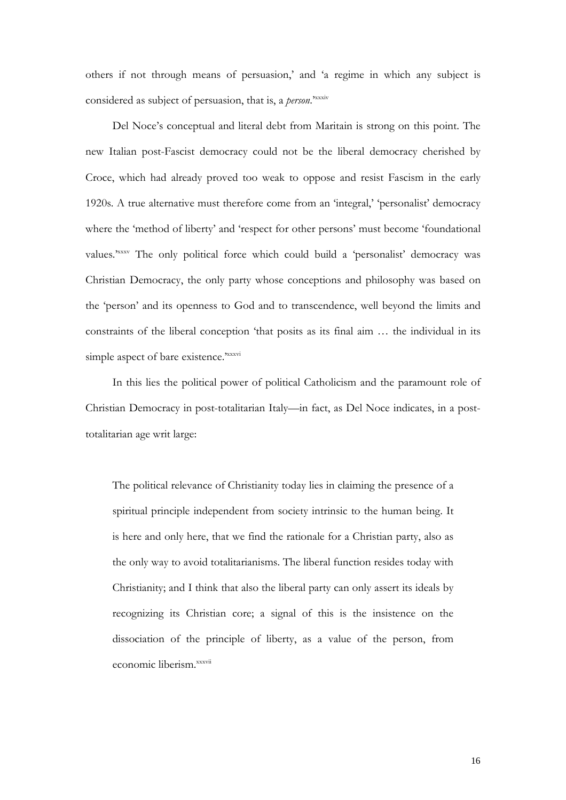others if not through means of persuasion,' and 'a regime in which any subject is considered as subject of persuasion, that is, a *person*.'xxxiv

Del Noce's conceptual and literal debt from Maritain is strong on this point. The new Italian post-Fascist democracy could not be the liberal democracy cherished by Croce, which had already proved too weak to oppose and resist Fascism in the early 1920s. A true alternative must therefore come from an 'integral,' 'personalist' democracy where the 'method of liberty' and 'respect for other persons' must become 'foundational values.<sup>2xxxv</sup> The only political force which could build a 'personalist' democracy was Christian Democracy, the only party whose conceptions and philosophy was based on the 'person' and its openness to God and to transcendence, well beyond the limits and constraints of the liberal conception 'that posits as its final aim … the individual in its simple aspect of bare existence.<sup>xxxvi</sup>

In this lies the political power of political Catholicism and the paramount role of Christian Democracy in post-totalitarian Italy—in fact, as Del Noce indicates, in a posttotalitarian age writ large:

The political relevance of Christianity today lies in claiming the presence of a spiritual principle independent from society intrinsic to the human being. It is here and only here, that we find the rationale for a Christian party, also as the only way to avoid totalitarianisms. The liberal function resides today with Christianity; and I think that also the liberal party can only assert its ideals by recognizing its Christian core; a signal of this is the insistence on the dissociation of the principle of liberty, as a value of the person, from economic liberism.<sup>xxxvii</sup>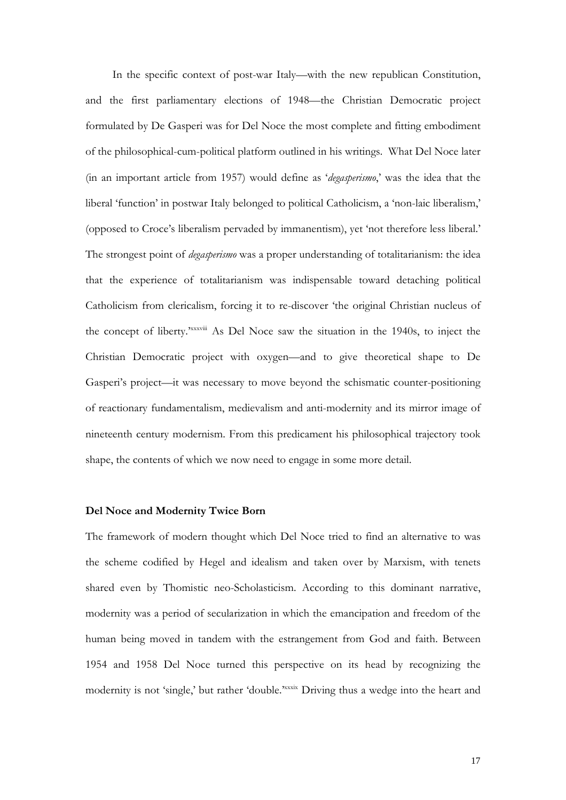In the specific context of post-war Italy—with the new republican Constitution, and the first parliamentary elections of 1948—the Christian Democratic project formulated by De Gasperi was for Del Noce the most complete and fitting embodiment of the philosophical-cum-political platform outlined in his writings. What Del Noce later (in an important article from 1957) would define as '*degasperismo*,' was the idea that the liberal 'function' in postwar Italy belonged to political Catholicism, a 'non-laic liberalism,' (opposed to Croce's liberalism pervaded by immanentism), yet 'not therefore less liberal.' The strongest point of *degasperismo* was a proper understanding of totalitarianism: the idea that the experience of totalitarianism was indispensable toward detaching political Catholicism from clericalism, forcing it to re-discover 'the original Christian nucleus of the concept of liberty.<sup>xxxviii</sup> As Del Noce saw the situation in the 1940s, to inject the Christian Democratic project with oxygen—and to give theoretical shape to De Gasperi's project—it was necessary to move beyond the schismatic counter-positioning of reactionary fundamentalism, medievalism and anti-modernity and its mirror image of nineteenth century modernism. From this predicament his philosophical trajectory took shape, the contents of which we now need to engage in some more detail.

# **Del Noce and Modernity Twice Born**

The framework of modern thought which Del Noce tried to find an alternative to was the scheme codified by Hegel and idealism and taken over by Marxism, with tenets shared even by Thomistic neo-Scholasticism. According to this dominant narrative, modernity was a period of secularization in which the emancipation and freedom of the human being moved in tandem with the estrangement from God and faith. Between 1954 and 1958 Del Noce turned this perspective on its head by recognizing the modernity is not 'single,' but rather 'double.'xxxix Driving thus a wedge into the heart and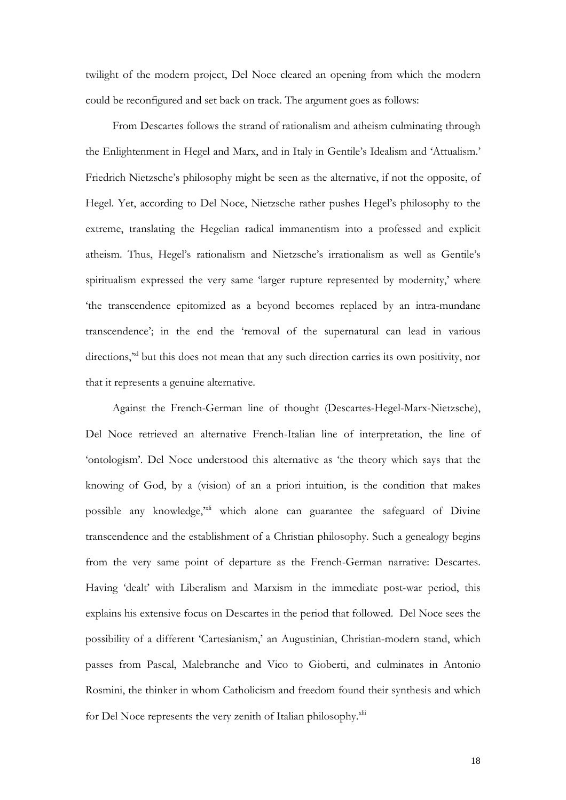twilight of the modern project, Del Noce cleared an opening from which the modern could be reconfigured and set back on track. The argument goes as follows:

From Descartes follows the strand of rationalism and atheism culminating through the Enlightenment in Hegel and Marx, and in Italy in Gentile's Idealism and 'Attualism.' Friedrich Nietzsche's philosophy might be seen as the alternative, if not the opposite, of Hegel. Yet, according to Del Noce, Nietzsche rather pushes Hegel's philosophy to the extreme, translating the Hegelian radical immanentism into a professed and explicit atheism. Thus, Hegel's rationalism and Nietzsche's irrationalism as well as Gentile's spiritualism expressed the very same 'larger rupture represented by modernity,' where 'the transcendence epitomized as a beyond becomes replaced by an intra-mundane transcendence'; in the end the 'removal of the supernatural can lead in various directions," but this does not mean that any such direction carries its own positivity, nor that it represents a genuine alternative.

Against the French-German line of thought (Descartes-Hegel-Marx-Nietzsche), Del Noce retrieved an alternative French-Italian line of interpretation, the line of 'ontologism'. Del Noce understood this alternative as 'the theory which says that the knowing of God, by a (vision) of an a priori intuition, is the condition that makes possible any knowledge,<sup>xxi</sup> which alone can guarantee the safeguard of Divine transcendence and the establishment of a Christian philosophy. Such a genealogy begins from the very same point of departure as the French-German narrative: Descartes. Having 'dealt' with Liberalism and Marxism in the immediate post-war period, this explains his extensive focus on Descartes in the period that followed. Del Noce sees the possibility of a different 'Cartesianism,' an Augustinian, Christian-modern stand, which passes from Pascal, Malebranche and Vico to Gioberti, and culminates in Antonio Rosmini, the thinker in whom Catholicism and freedom found their synthesis and which for Del Noce represents the very zenith of Italian philosophy.<sup>xlii</sup>

18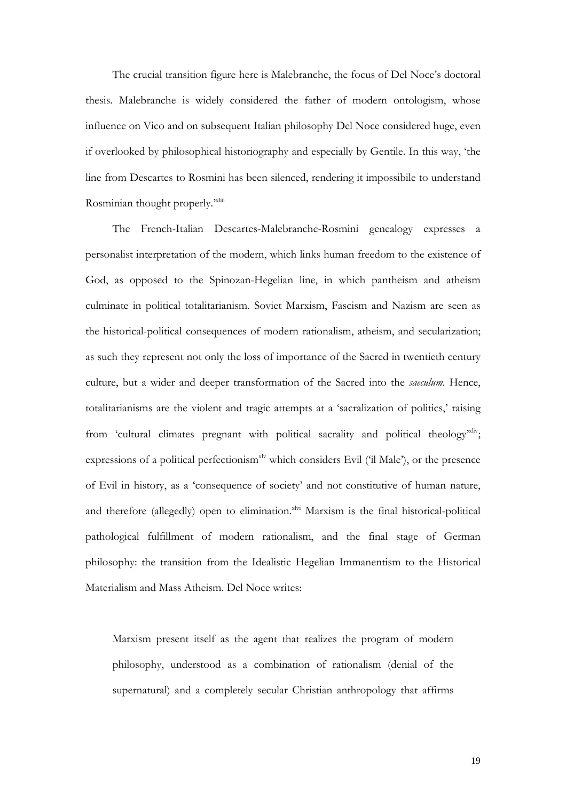The crucial transition figure here is Malebranche, the focus of Del Noce's doctoral thesis. Malebranche is widely considered the father of modern ontologism, whose influence on Vico and on subsequent Italian philosophy Del Noce considered huge, even if overlooked by philosophical historiography and especially by Gentile. In this way, 'the line from Descartes to Rosmini has been silenced, rendering it impossibile to understand Rosminian thought properly."xliii

The French-Italian Descartes-Malebranche-Rosmini genealogy expresses a personalist interpretation of the modern, which links human freedom to the existence of God, as opposed to the Spinozan-Hegelian line, in which pantheism and atheism culminate in political totalitarianism. Soviet Marxism, Fascism and Nazism are seen as the historical-political consequences of modern rationalism, atheism, and secularization; as such they represent not only the loss of importance of the Sacred in twentieth century culture, but a wider and deeper transformation of the Sacred into the *saeculum*. Hence, totalitarianisms are the violent and tragic attempts at a 'sacralization of politics,' raising from 'cultural climates pregnant with political sacrality and political theology<sup>xliv</sup>; expressions of a political perfectionism<sup>xlv</sup> which considers Evil ('il Male'), or the presence of Evil in history, as a 'consequence of society' and not constitutive of human nature, and therefore (allegedly) open to elimination.<sup>xlvi</sup> Marxism is the final historical-political pathological fulfillment of modern rationalism, and the final stage of German philosophy: the transition from the Idealistic Hegelian Immanentism to the Historical Materialism and Mass Atheism. Del Noce writes:

Marxism present itself as the agent that realizes the program of modern philosophy, understood as a combination of rationalism (denial of the supernatural) and a completely secular Christian anthropology that affirms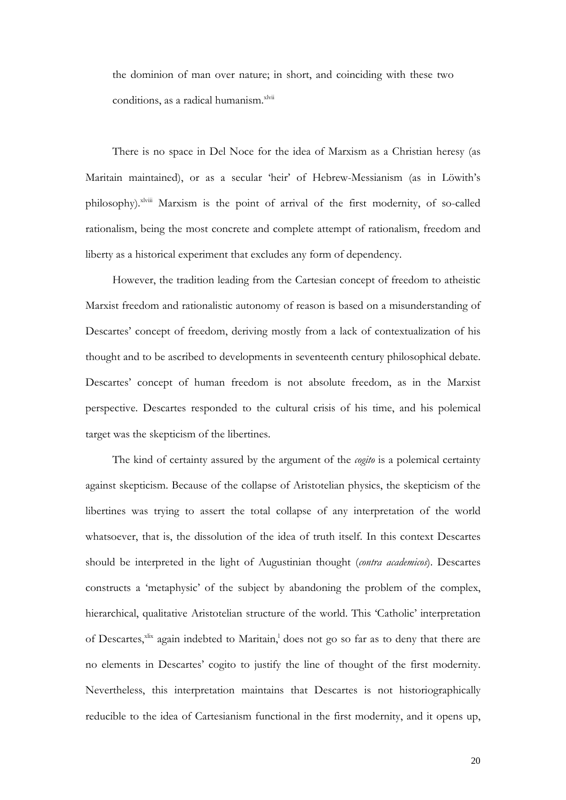the dominion of man over nature; in short, and coinciding with these two conditions, as a radical humanism.<sup>xlvii</sup>

There is no space in Del Noce for the idea of Marxism as a Christian heresy (as Maritain maintained), or as a secular 'heir' of Hebrew-Messianism (as in Löwith's philosophy).<sup>xlviii</sup> Marxism is the point of arrival of the first modernity, of so-called rationalism, being the most concrete and complete attempt of rationalism, freedom and liberty as a historical experiment that excludes any form of dependency.

However, the tradition leading from the Cartesian concept of freedom to atheistic Marxist freedom and rationalistic autonomy of reason is based on a misunderstanding of Descartes' concept of freedom, deriving mostly from a lack of contextualization of his thought and to be ascribed to developments in seventeenth century philosophical debate. Descartes' concept of human freedom is not absolute freedom, as in the Marxist perspective. Descartes responded to the cultural crisis of his time, and his polemical target was the skepticism of the libertines.

The kind of certainty assured by the argument of the *cogito* is a polemical certainty against skepticism. Because of the collapse of Aristotelian physics, the skepticism of the libertines was trying to assert the total collapse of any interpretation of the world whatsoever, that is, the dissolution of the idea of truth itself. In this context Descartes should be interpreted in the light of Augustinian thought (*contra academicos*). Descartes constructs a 'metaphysic' of the subject by abandoning the problem of the complex, hierarchical, qualitative Aristotelian structure of the world. This 'Catholic' interpretation of Descartes, $x$ lix again indebted to Maritain,<sup>1</sup> does not go so far as to deny that there are no elements in Descartes' cogito to justify the line of thought of the first modernity. Nevertheless, this interpretation maintains that Descartes is not historiographically reducible to the idea of Cartesianism functional in the first modernity, and it opens up,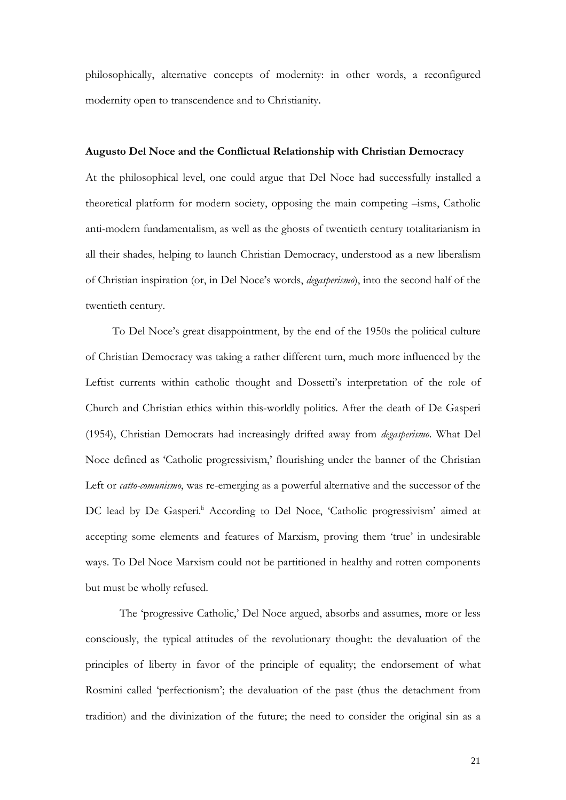philosophically, alternative concepts of modernity: in other words, a reconfigured modernity open to transcendence and to Christianity.

### **Augusto Del Noce and the Conflictual Relationship with Christian Democracy**

At the philosophical level, one could argue that Del Noce had successfully installed a theoretical platform for modern society, opposing the main competing –isms, Catholic anti-modern fundamentalism, as well as the ghosts of twentieth century totalitarianism in all their shades, helping to launch Christian Democracy, understood as a new liberalism of Christian inspiration (or, in Del Noce's words, *degasperismo*), into the second half of the twentieth century.

To Del Noce's great disappointment, by the end of the 1950s the political culture of Christian Democracy was taking a rather different turn, much more influenced by the Leftist currents within catholic thought and Dossetti's interpretation of the role of Church and Christian ethics within this-worldly politics. After the death of De Gasperi (1954), Christian Democrats had increasingly drifted away from *degasperismo*. What Del Noce defined as 'Catholic progressivism,' flourishing under the banner of the Christian Left or *catto-comunismo*, was re-emerging as a powerful alternative and the successor of the DC lead by De Gasperi.<sup>II</sup> According to Del Noce, 'Catholic progressivism' aimed at accepting some elements and features of Marxism, proving them 'true' in undesirable ways. To Del Noce Marxism could not be partitioned in healthy and rotten components but must be wholly refused.

The 'progressive Catholic,' Del Noce argued, absorbs and assumes, more or less consciously, the typical attitudes of the revolutionary thought: the devaluation of the principles of liberty in favor of the principle of equality; the endorsement of what Rosmini called 'perfectionism'; the devaluation of the past (thus the detachment from tradition) and the divinization of the future; the need to consider the original sin as a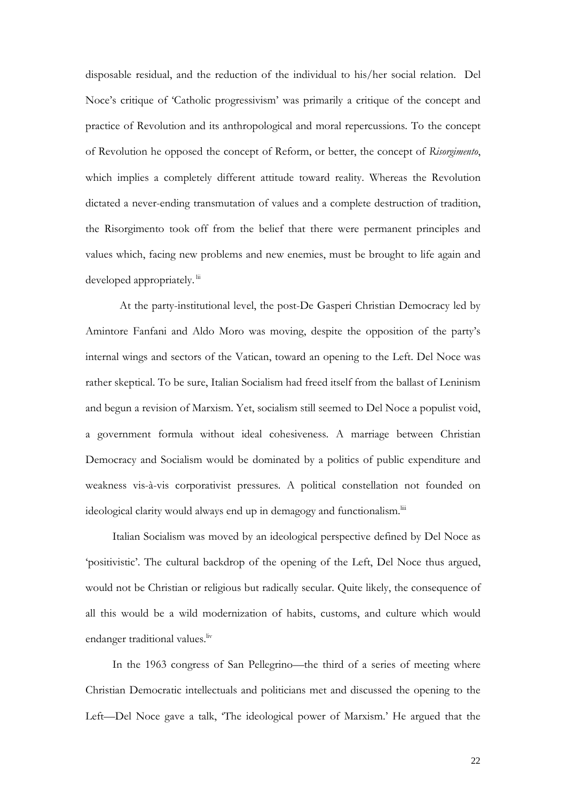disposable residual, and the reduction of the individual to his/her social relation. Del Noce's critique of 'Catholic progressivism' was primarily a critique of the concept and practice of Revolution and its anthropological and moral repercussions. To the concept of Revolution he opposed the concept of Reform, or better, the concept of *Risorgimento*, which implies a completely different attitude toward reality. Whereas the Revolution dictated a never-ending transmutation of values and a complete destruction of tradition, the Risorgimento took off from the belief that there were permanent principles and values which, facing new problems and new enemies, must be brought to life again and developed appropriately. lii

At the party-institutional level, the post-De Gasperi Christian Democracy led by Amintore Fanfani and Aldo Moro was moving, despite the opposition of the party's internal wings and sectors of the Vatican, toward an opening to the Left. Del Noce was rather skeptical. To be sure, Italian Socialism had freed itself from the ballast of Leninism and begun a revision of Marxism. Yet, socialism still seemed to Del Noce a populist void, a government formula without ideal cohesiveness. A marriage between Christian Democracy and Socialism would be dominated by a politics of public expenditure and weakness vis-à-vis corporativist pressures. A political constellation not founded on ideological clarity would always end up in demagogy and functionalism.<sup>Iii</sup>

Italian Socialism was moved by an ideological perspective defined by Del Noce as 'positivistic'. The cultural backdrop of the opening of the Left, Del Noce thus argued, would not be Christian or religious but radically secular. Quite likely, the consequence of all this would be a wild modernization of habits, customs, and culture which would endanger traditional values.<sup>liv</sup>

In the 1963 congress of San Pellegrino—the third of a series of meeting where Christian Democratic intellectuals and politicians met and discussed the opening to the Left—Del Noce gave a talk, 'The ideological power of Marxism.' He argued that the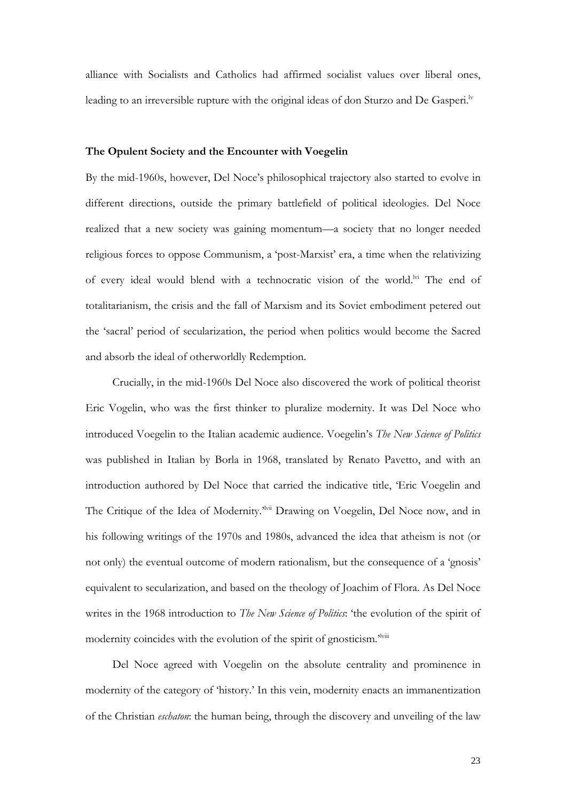alliance with Socialists and Catholics had affirmed socialist values over liberal ones, leading to an irreversible rupture with the original ideas of don Sturzo and De Gasperi.<sup>lv</sup>

## **The Opulent Society and the Encounter with Voegelin**

By the mid-1960s, however, Del Noce's philosophical trajectory also started to evolve in different directions, outside the primary battlefield of political ideologies. Del Noce realized that a new society was gaining momentum—a society that no longer needed religious forces to oppose Communism, a 'post-Marxist' era, a time when the relativizing of every ideal would blend with a technocratic vision of the world.<sup>Ivi</sup> The end of totalitarianism, the crisis and the fall of Marxism and its Soviet embodiment petered out the 'sacral' period of secularization, the period when politics would become the Sacred and absorb the ideal of otherworldly Redemption.

Crucially, in the mid-1960s Del Noce also discovered the work of political theorist Eric Vogelin, who was the first thinker to pluralize modernity. It was Del Noce who introduced Voegelin to the Italian academic audience. Voegelin's *The New Science of Politics* was published in Italian by Borla in 1968, translated by Renato Pavetto, and with an introduction authored by Del Noce that carried the indicative title, 'Eric Voegelin and The Critique of the Idea of Modernity.'lvii Drawing on Voegelin, Del Noce now, and in his following writings of the 1970s and 1980s, advanced the idea that atheism is not (or not only) the eventual outcome of modern rationalism, but the consequence of a 'gnosis' equivalent to secularization, and based on the theology of Joachim of Flora. As Del Noce writes in the 1968 introduction to *The New Science of Politics*: 'the evolution of the spirit of modernity coincides with the evolution of the spirit of gnosticism.<sup>'Iviii</sup>

Del Noce agreed with Voegelin on the absolute centrality and prominence in modernity of the category of 'history.' In this vein, modernity enacts an immanentization of the Christian *eschaton*: the human being, through the discovery and unveiling of the law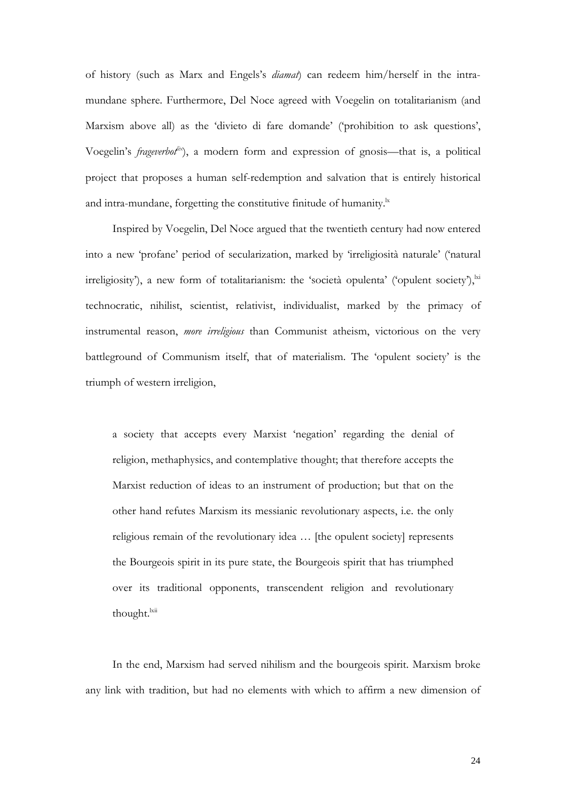of history (such as Marx and Engels's *diamat*) can redeem him/herself in the intramundane sphere. Furthermore, Del Noce agreed with Voegelin on totalitarianism (and Marxism above all) as the 'divieto di fare domande' ('prohibition to ask questions', Voegelin's *frageverbot*<sup>ix</sup>), a modern form and expression of gnosis—that is, a political project that proposes a human self-redemption and salvation that is entirely historical and intra-mundane, forgetting the constitutive finitude of humanity. $\frac{1}{x}$ 

Inspired by Voegelin, Del Noce argued that the twentieth century had now entered into a new 'profane' period of secularization, marked by 'irreligiosità naturale' ('natural irreligiosity'), a new form of totalitarianism: the 'società opulenta' ('opulent society'), $\frac{1}{N}$ technocratic, nihilist, scientist, relativist, individualist, marked by the primacy of instrumental reason, *more irreligious* than Communist atheism, victorious on the very battleground of Communism itself, that of materialism. The 'opulent society' is the triumph of western irreligion,

a society that accepts every Marxist 'negation' regarding the denial of religion, methaphysics, and contemplative thought; that therefore accepts the Marxist reduction of ideas to an instrument of production; but that on the other hand refutes Marxism its messianic revolutionary aspects, i.e. the only religious remain of the revolutionary idea … [the opulent society] represents the Bourgeois spirit in its pure state, the Bourgeois spirit that has triumphed over its traditional opponents, transcendent religion and revolutionary thought.<sup>lxii</sup>

In the end, Marxism had served nihilism and the bourgeois spirit. Marxism broke any link with tradition, but had no elements with which to affirm a new dimension of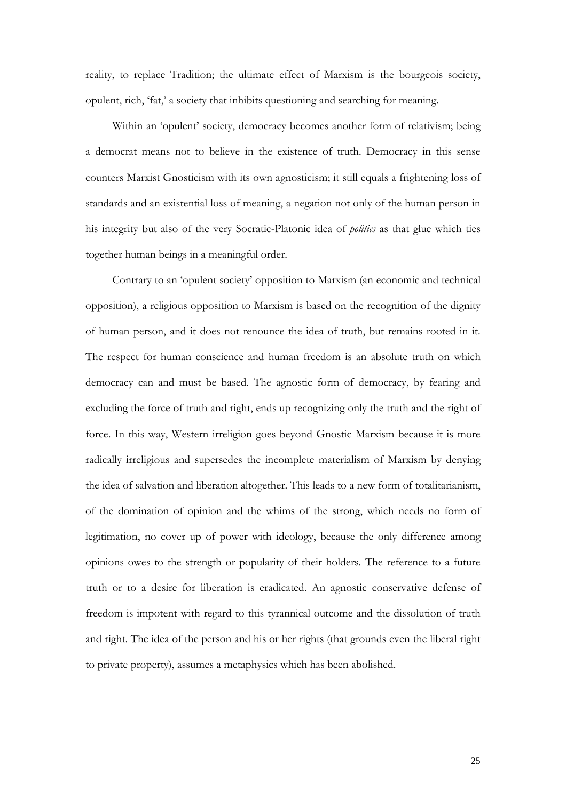reality, to replace Tradition; the ultimate effect of Marxism is the bourgeois society, opulent, rich, 'fat,' a society that inhibits questioning and searching for meaning.

Within an 'opulent' society, democracy becomes another form of relativism; being a democrat means not to believe in the existence of truth. Democracy in this sense counters Marxist Gnosticism with its own agnosticism; it still equals a frightening loss of standards and an existential loss of meaning, a negation not only of the human person in his integrity but also of the very Socratic-Platonic idea of *politics* as that glue which ties together human beings in a meaningful order.

Contrary to an 'opulent society' opposition to Marxism (an economic and technical opposition), a religious opposition to Marxism is based on the recognition of the dignity of human person, and it does not renounce the idea of truth, but remains rooted in it. The respect for human conscience and human freedom is an absolute truth on which democracy can and must be based. The agnostic form of democracy, by fearing and excluding the force of truth and right, ends up recognizing only the truth and the right of force. In this way, Western irreligion goes beyond Gnostic Marxism because it is more radically irreligious and supersedes the incomplete materialism of Marxism by denying the idea of salvation and liberation altogether. This leads to a new form of totalitarianism, of the domination of opinion and the whims of the strong, which needs no form of legitimation, no cover up of power with ideology, because the only difference among opinions owes to the strength or popularity of their holders. The reference to a future truth or to a desire for liberation is eradicated. An agnostic conservative defense of freedom is impotent with regard to this tyrannical outcome and the dissolution of truth and right. The idea of the person and his or her rights (that grounds even the liberal right to private property), assumes a metaphysics which has been abolished.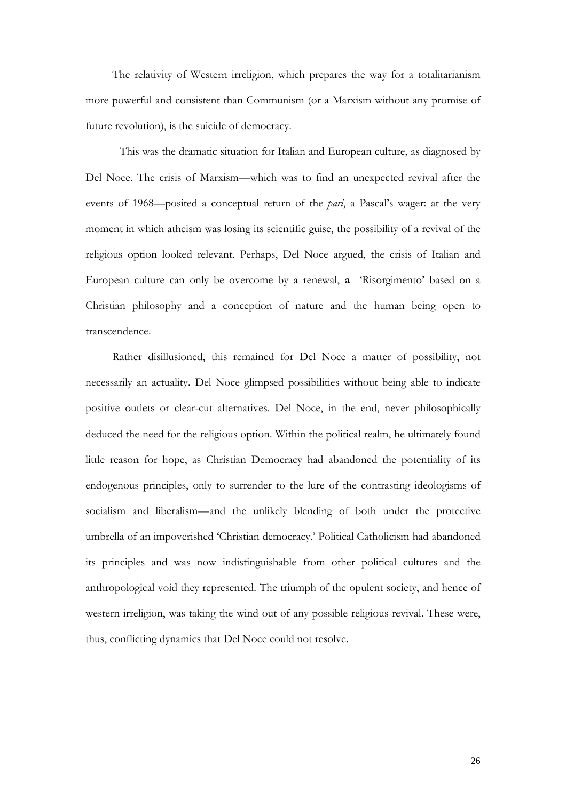The relativity of Western irreligion, which prepares the way for a totalitarianism more powerful and consistent than Communism (or a Marxism without any promise of future revolution), is the suicide of democracy.

This was the dramatic situation for Italian and European culture, as diagnosed by Del Noce. The crisis of Marxism—which was to find an unexpected revival after the events of 1968—posited a conceptual return of the *pari*, a Pascal's wager: at the very moment in which atheism was losing its scientific guise, the possibility of a revival of the religious option looked relevant. Perhaps, Del Noce argued, the crisis of Italian and European culture can only be overcome by a renewal, **a** 'Risorgimento' based on a Christian philosophy and a conception of nature and the human being open to transcendence.

Rather disillusioned, this remained for Del Noce a matter of possibility, not necessarily an actuality**.** Del Noce glimpsed possibilities without being able to indicate positive outlets or clear-cut alternatives. Del Noce, in the end, never philosophically deduced the need for the religious option. Within the political realm, he ultimately found little reason for hope, as Christian Democracy had abandoned the potentiality of its endogenous principles, only to surrender to the lure of the contrasting ideologisms of socialism and liberalism—and the unlikely blending of both under the protective umbrella of an impoverished 'Christian democracy.' Political Catholicism had abandoned its principles and was now indistinguishable from other political cultures and the anthropological void they represented. The triumph of the opulent society, and hence of western irreligion, was taking the wind out of any possible religious revival. These were, thus, conflicting dynamics that Del Noce could not resolve.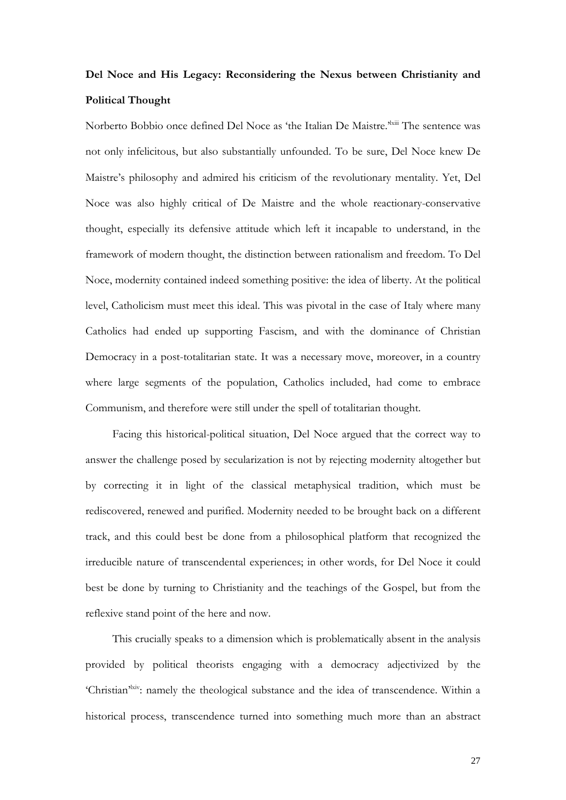# **Del Noce and His Legacy: Reconsidering the Nexus between Christianity and Political Thought**

Norberto Bobbio once defined Del Noce as 'the Italian De Maistre.<sup>3kiii</sup> The sentence was not only infelicitous, but also substantially unfounded. To be sure, Del Noce knew De Maistre's philosophy and admired his criticism of the revolutionary mentality. Yet, Del Noce was also highly critical of De Maistre and the whole reactionary-conservative thought, especially its defensive attitude which left it incapable to understand, in the framework of modern thought, the distinction between rationalism and freedom. To Del Noce, modernity contained indeed something positive: the idea of liberty. At the political level, Catholicism must meet this ideal. This was pivotal in the case of Italy where many Catholics had ended up supporting Fascism, and with the dominance of Christian Democracy in a post-totalitarian state. It was a necessary move, moreover, in a country where large segments of the population, Catholics included, had come to embrace Communism, and therefore were still under the spell of totalitarian thought.

Facing this historical-political situation, Del Noce argued that the correct way to answer the challenge posed by secularization is not by rejecting modernity altogether but by correcting it in light of the classical metaphysical tradition, which must be rediscovered, renewed and purified. Modernity needed to be brought back on a different track, and this could best be done from a philosophical platform that recognized the irreducible nature of transcendental experiences; in other words, for Del Noce it could best be done by turning to Christianity and the teachings of the Gospel, but from the reflexive stand point of the here and now.

This crucially speaks to a dimension which is problematically absent in the analysis provided by political theorists engaging with a democracy adjectivized by the 'Christian'<sup>kiv</sup>: namely the theological substance and the idea of transcendence. Within a historical process, transcendence turned into something much more than an abstract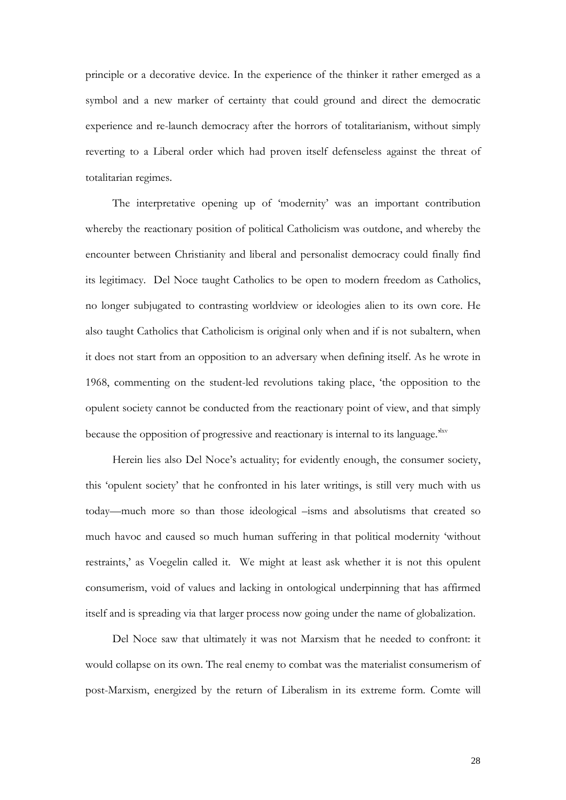principle or a decorative device. In the experience of the thinker it rather emerged as a symbol and a new marker of certainty that could ground and direct the democratic experience and re-launch democracy after the horrors of totalitarianism, without simply reverting to a Liberal order which had proven itself defenseless against the threat of totalitarian regimes.

The interpretative opening up of 'modernity' was an important contribution whereby the reactionary position of political Catholicism was outdone, and whereby the encounter between Christianity and liberal and personalist democracy could finally find its legitimacy. Del Noce taught Catholics to be open to modern freedom as Catholics, no longer subjugated to contrasting worldview or ideologies alien to its own core. He also taught Catholics that Catholicism is original only when and if is not subaltern, when it does not start from an opposition to an adversary when defining itself. As he wrote in 1968, commenting on the student-led revolutions taking place, 'the opposition to the opulent society cannot be conducted from the reactionary point of view, and that simply because the opposition of progressive and reactionary is internal to its language.<sup>Nxv</sup>

Herein lies also Del Noce's actuality; for evidently enough, the consumer society, this 'opulent society' that he confronted in his later writings, is still very much with us today—much more so than those ideological –isms and absolutisms that created so much havoc and caused so much human suffering in that political modernity 'without restraints,' as Voegelin called it. We might at least ask whether it is not this opulent consumerism, void of values and lacking in ontological underpinning that has affirmed itself and is spreading via that larger process now going under the name of globalization.

Del Noce saw that ultimately it was not Marxism that he needed to confront: it would collapse on its own. The real enemy to combat was the materialist consumerism of post-Marxism, energized by the return of Liberalism in its extreme form. Comte will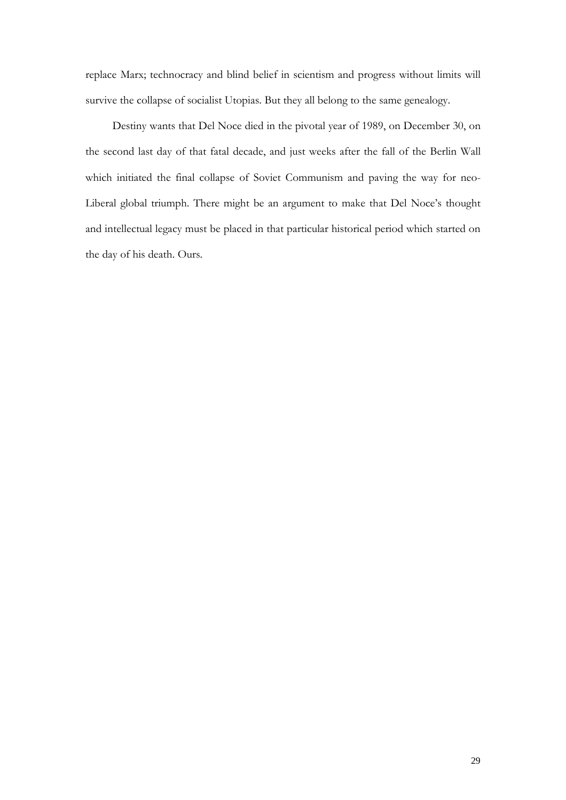replace Marx; technocracy and blind belief in scientism and progress without limits will survive the collapse of socialist Utopias. But they all belong to the same genealogy.

Destiny wants that Del Noce died in the pivotal year of 1989, on December 30, on the second last day of that fatal decade, and just weeks after the fall of the Berlin Wall which initiated the final collapse of Soviet Communism and paving the way for neo-Liberal global triumph. There might be an argument to make that Del Noce's thought and intellectual legacy must be placed in that particular historical period which started on the day of his death. Ours.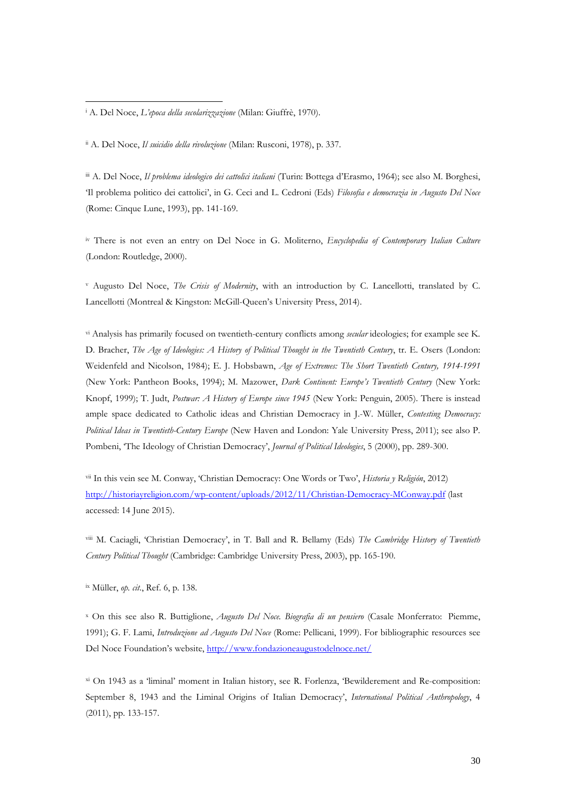<sup>i</sup> A. Del Noce, *L'epoca della secolarizzazione* (Milan: Giuffrè, 1970).

l

ii A. Del Noce, *Il suicidio della rivoluzione* (Milan: Rusconi, 1978), p. 337.

iii A. Del Noce, *Il problema ideologico dei cattolici italiani* (Turin: Bottega d'Erasmo, 1964); see also M. Borghesi, 'Il problema politico dei cattolici', in G. Ceci and L. Cedroni (Eds) *Filosofia e democrazia in Augusto Del Noce* (Rome: Cinque Lune, 1993), pp. 141-169.

iv There is not even an entry on Del Noce in G. Moliterno, *Encyclopedia of Contemporary Italian Culture* (London: Routledge, 2000).

<sup>v</sup> Augusto Del Noce, *The Crisis of Modernity*, with an introduction by C. Lancellotti, translated by C. Lancellotti (Montreal & Kingston: McGill-Queen's University Press, 2014).

vi Analysis has primarily focused on twentieth-century conflicts among *secular* ideologies; for example see K. D. Bracher, *The Age of Ideologies: A History of Political Thought in the Twentieth Century*, tr. E. Osers (London: Weidenfeld and Nicolson, 1984); E. J. Hobsbawn, *Age of Extremes: The Short Twentieth Century, 1914-1991* (New York: Pantheon Books, 1994); M. Mazower, *Dark Continent: Europe's Twentieth Century* (New York: Knopf, 1999); T. Judt, *Postwar: A History of Europe since 1945* (New York: Penguin, 2005). There is instead ample space dedicated to Catholic ideas and Christian Democracy in J.-W. Müller, *Contesting Democracy: Political Ideas in Twentieth-Century Europe* (New Haven and London: Yale University Press, 2011); see also P. Pombeni, 'The Ideology of Christian Democracy', *Journal of Political Ideologies*, 5 (2000), pp. 289-300.

vii In this vein see M. Conway, 'Christian Democracy: One Words or Two', *Historia y Religión*, 2012) <http://historiayreligion.com/wp-content/uploads/2012/11/Christian-Democracy-MConway.pdf> (last accessed: 14 June 2015).

viii M. Caciagli, 'Christian Democracy', in T. Ball and R. Bellamy (Eds) *The Cambridge History of Twentieth Century Political Thought* (Cambridge: Cambridge University Press, 2003), pp. 165-190.

ix Müller, *op. cit*., Ref. 6, p. 138.

<sup>x</sup> On this see also R. Buttiglione, *Augusto Del Noce. Biografia di un pensiero* (Casale Monferrato: Piemme, 1991); G. F. Lami, *Introduzione ad Augusto Del Noce* (Rome: Pellicani, 1999). For bibliographic resources see Del Noce Foundation's website,<http://www.fondazioneaugustodelnoce.net/>

xi On 1943 as a 'liminal' moment in Italian history, see R. Forlenza, 'Bewilderement and Re-composition: September 8, 1943 and the Liminal Origins of Italian Democracy', *International Political Anthropology*, 4 (2011), pp. 133-157.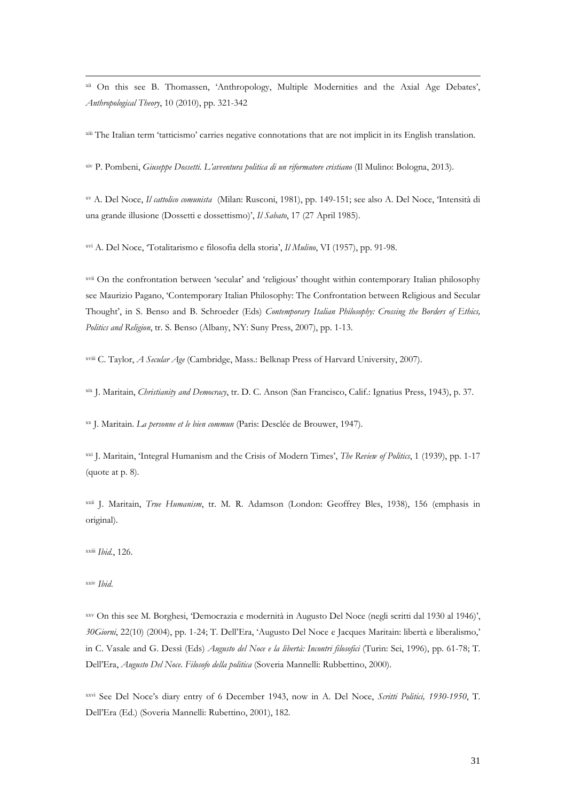<sup>xii</sup> On this see B. Thomassen, 'Anthropology, Multiple Modernities and the Axial Age Debates', *Anthropological Theory*, 10 (2010), pp. 321-342

<sup>xiii</sup> The Italian term 'tatticismo' carries negative connotations that are not implicit in its English translation.

xiv P. Pombeni, *Giuseppe Dossetti. L'avventura politica di un riformatore cristiano* (Il Mulino: Bologna, 2013).

xv A. Del Noce, *Il cattolico comunista* (Milan: Rusconi, 1981), pp. 149-151; see also A. Del Noce, 'Intensità di una grande illusione (Dossetti e dossettismo)', *Il Sabato*, 17 (27 April 1985).

xvi A. Del Noce, 'Totalitarismo e filosofia della storia', *Il Mulino*, VI (1957), pp. 91-98.

xvii On the confrontation between 'secular' and 'religious' thought within contemporary Italian philosophy see Maurizio Pagano, 'Contemporary Italian Philosophy: The Confrontation between Religious and Secular Thought', in S. Benso and B. Schroeder (Eds) *Contemporary Italian Philosophy: Crossing the Borders of Ethics, Politics and Religion*, tr. S. Benso (Albany, NY: Suny Press, 2007), pp. 1-13.

xviii C. Taylor, *A Secular Age* (Cambridge, Mass.: Belknap Press of Harvard University, 2007).

xix J. Maritain, *Christianity and Democracy*, tr. D. C. Anson (San Francisco, Calif.: Ignatius Press, 1943), p. 37.

xx J. Maritain. *La personne et le bien commun* (Paris: Desclée de Brouwer, 1947).

xxi J. Maritain, 'Integral Humanism and the Crisis of Modern Times', *The Review of Politics*, 1 (1939), pp. 1-17 (quote at p. 8).

xxii J. Maritain, *True Humanism*, tr. M. R. Adamson (London: Geoffrey Bles, 1938), 156 (emphasis in original).

xxiii *Ibid.*, 126.

xxiv *Ibid*.

 $\overline{a}$ 

xxv On this see M. Borghesi, 'Democrazia e modernità in Augusto Del Noce (negli scritti dal 1930 al 1946)', *30Giorni*, 22(10) (2004), pp. 1-24; T. Dell'Era, 'Augusto Del Noce e Jacques Maritain: libertà e liberalismo,' in C. Vasale and G. Dessì (Eds) *Augusto del Noce e la libertà: Incontri filosofici* (Turin: Sei, 1996), pp. 61-78; T. Dell'Era, *Augusto Del Noce. Filosofo della politica* (Soveria Mannelli: Rubbettino, 2000).

xxvi See Del Noce's diary entry of 6 December 1943, now in A. Del Noce, *Scritti Politici, 1930-1950*, T. Dell'Era (Ed.) (Soveria Mannelli: Rubettino, 2001), 182.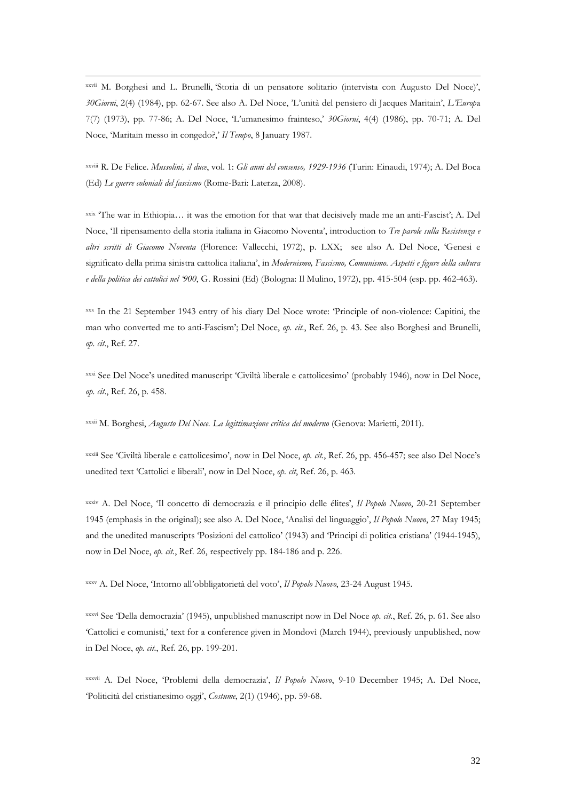xxvii M. Borghesi and L. Brunelli, 'Storia di un pensatore solitario (intervista con Augusto Del Noce)', *30Giorni*, 2(4) (1984), pp. 62-67. See also A. Del Noce, 'L'unità del pensiero di Jacques Maritain', *L'Europ*a 7(7) (1973), pp. 77-86; A. Del Noce, 'L'umanesimo frainteso,' *30Giorni*, 4(4) (1986), pp. 70-71; A. Del Noce, 'Maritain messo in congedo?,' *Il Tempo*, 8 January 1987.

 $\overline{a}$ 

xxviii R. De Felice. *Mussolini, il duce*, vol. 1: *Gli anni del consenso, 1929-1936* (Turin: Einaudi, 1974); A. Del Boca (Ed) *Le guerre coloniali del fascismo* (Rome-Bari: Laterza, 2008).

xxix 'The war in Ethiopia... it was the emotion for that war that decisively made me an anti-Fascist'; A. Del Noce, 'Il ripensamento della storia italiana in Giacomo Noventa', introduction to *Tre parole sulla Resistenza e altri scritti di Giacomo Noventa* (Florence: Vallecchi, 1972), p. LXX; see also A. Del Noce, 'Genesi e significato della prima sinistra cattolica italiana', in *Modernismo, Fascismo, Comunismo. Aspetti e figure della cultura e della politica dei cattolici nel '900*, G. Rossini (Ed) (Bologna: Il Mulino, 1972), pp. 415-504 (esp. pp. 462-463).

xxx In the 21 September 1943 entry of his diary Del Noce wrote: 'Principle of non-violence: Capitini, the man who converted me to anti-Fascism'; Del Noce, *op. cit.*, Ref. 26, p. 43. See also Borghesi and Brunelli, *op. cit*., Ref. 27.

xxxi See Del Noce's unedited manuscript 'Civiltà liberale e cattolicesimo' (probably 1946), now in Del Noce, *op. cit*., Ref. 26, p. 458.

xxxii M. Borghesi, *Augusto Del Noce. La legittimazione critica del moderno* (Genova: Marietti, 2011).

xxxiii See 'Civiltà liberale e cattolicesimo', now in Del Noce, *op. cit.*, Ref. 26, pp. 456-457; see also Del Noce's unedited text 'Cattolici e liberali', now in Del Noce, *op. cit*, Ref. 26, p. 463.

xxxiv A. Del Noce, 'Il concetto di democrazia e il principio delle élites', *Il Popolo Nuovo*, 20-21 September 1945 (emphasis in the original); see also A. Del Noce, 'Analisi del linguaggio', *Il Popolo Nuovo*, 27 May 1945; and the unedited manuscripts 'Posizioni del cattolico' (1943) and 'Principi di politica cristiana' (1944-1945), now in Del Noce, *op. cit.*, Ref. 26, respectively pp. 184-186 and p. 226.

xxxv A. Del Noce, 'Intorno all'obbligatorietà del voto', *Il Popolo Nuovo*, 23-24 August 1945.

xxxvi See 'Della democrazia' (1945), unpublished manuscript now in Del Noce *op. cit.*, Ref. 26, p. 61. See also 'Cattolici e comunisti,' text for a conference given in Mondovì (March 1944), previously unpublished, now in Del Noce, *op. cit.*, Ref. 26, pp. 199-201.

xxxvii A. Del Noce, 'Problemi della democrazia', *Il Popolo Nuovo*, 9-10 December 1945; A. Del Noce, 'Politicità del cristianesimo oggi', *Costume*, 2(1) (1946), pp. 59-68.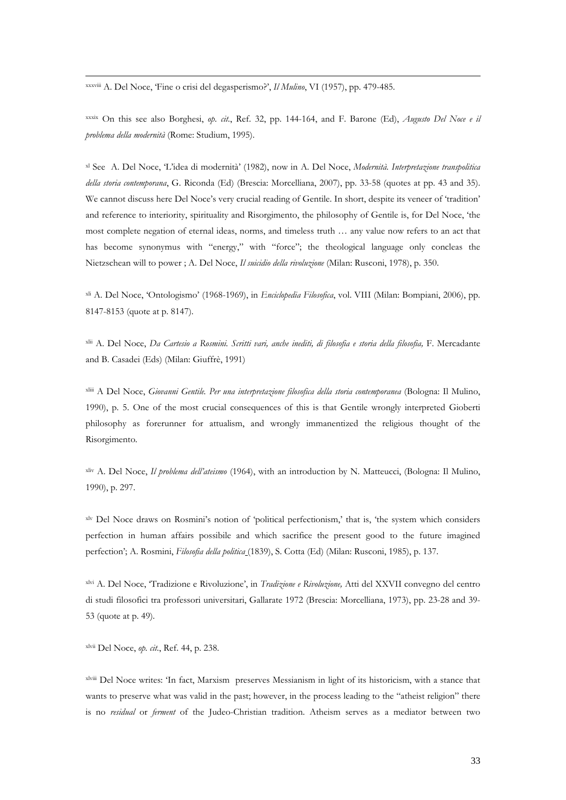xxxviii A. Del Noce, 'Fine o crisi del degasperismo?', *Il Mulino*, VI (1957), pp. 479-485.

 $\overline{a}$ 

xxxix On this see also Borghesi, *op. cit.*, Ref. 32, pp. 144-164, and F. Barone (Ed), *Augusto Del Noce e il problema della modernità* (Rome: Studium, 1995).

xl See A. Del Noce, 'L'idea di modernità' (1982), now in A. Del Noce, *Modernità. Interpretazione transpolitica della storia contemporana*, G. Riconda (Ed) (Brescia: Morcelliana, 2007), pp. 33-58 (quotes at pp. 43 and 35). We cannot discuss here Del Noce's very crucial reading of Gentile. In short, despite its veneer of 'tradition' and reference to interiority, spirituality and Risorgimento, the philosophy of Gentile is, for Del Noce, 'the most complete negation of eternal ideas, norms, and timeless truth … any value now refers to an act that has become synonymus with "energy," with "force"; the theological language only concleas the Nietzschean will to power ; A. Del Noce, *Il suicidio della rivoluzione* (Milan: Rusconi, 1978), p. 350.

xli A. Del Noce, 'Ontologismo' (1968-1969), in *Enciclopedia Filosofica*, vol. VIII (Milan: Bompiani, 2006), pp. 8147-8153 (quote at p. 8147).

xlii A. Del Noce, *Da Cartesio a Rosmini. Scritti vari, anche inediti, di filosofia e storia della filosofia,* F. Mercadante and B. Casadei (Eds) (Milan: Giuffrè, 1991)

xliii A Del Noce, *Giovanni Gentile. Per una interpretazione filosofica della storia contemporanea* (Bologna: Il Mulino, 1990), p. 5. One of the most crucial consequences of this is that Gentile wrongly interpreted Gioberti philosophy as forerunner for attualism, and wrongly immanentized the religious thought of the Risorgimento.

xliv A. Del Noce, *Il problema dell'ateismo* (1964), with an introduction by N. Matteucci, (Bologna: Il Mulino, 1990), p. 297.

xlv Del Noce draws on Rosmini's notion of 'political perfectionism,' that is, 'the system which considers perfection in human affairs possibile and which sacrifice the present good to the future imagined perfection'; A. Rosmini, *Filosofia della politica* (1839), S. Cotta (Ed) (Milan: Rusconi, 1985), p. 137.

xlvi A. Del Noce, 'Tradizione e Rivoluzione', in *Tradizione e Rivoluzione,* Atti del XXVII convegno del centro di studi filosofici tra professori universitari, Gallarate 1972 (Brescia: Morcelliana, 1973), pp. 23-28 and 39- 53 (quote at p. 49).

xlvii Del Noce, *op. cit.*, Ref. 44, p. 238.

xlviii Del Noce writes: 'In fact, Marxism preserves Messianism in light of its historicism, with a stance that wants to preserve what was valid in the past; however, in the process leading to the "atheist religion" there is no *residual* or *ferment* of the Judeo-Christian tradition. Atheism serves as a mediator between two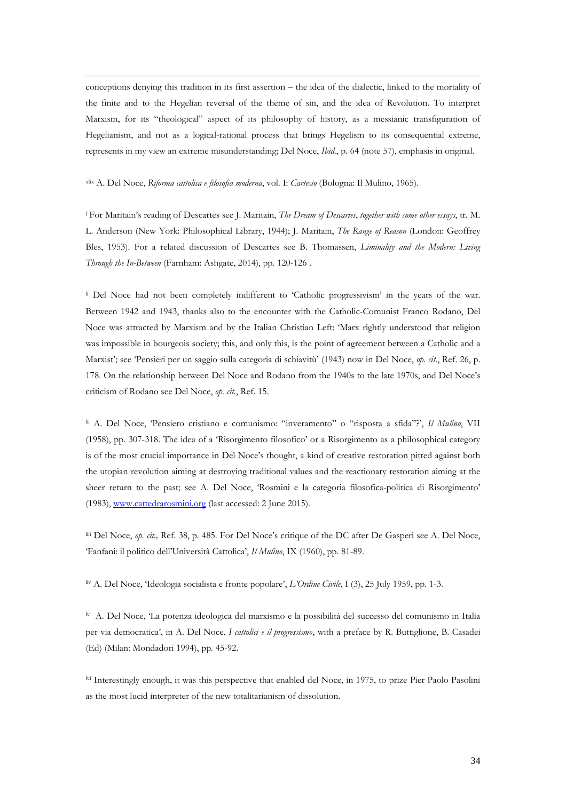$\overline{a}$ conceptions denying this tradition in its first assertion – the idea of the dialectic, linked to the mortality of the finite and to the Hegelian reversal of the theme of sin, and the idea of Revolution. To interpret Marxism, for its "theological" aspect of its philosophy of history, as a messianic transfiguration of Hegelianism, and not as a logical-rational process that brings Hegelism to its consequential extreme, represents in my view an extreme misunderstanding; Del Noce, *Ibid.*, p. 64 (note 57), emphasis in original.

xlix A. Del Noce, *Riforma cattolica e filosofia moderna*, vol. I: *Cartesio* (Bologna: Il Mulino, 1965).

<sup>l</sup> For Maritain's reading of Descartes see J. Maritain, *The Dream of Descartes*, *together with some other essays*, tr. M. L. Anderson (New York: Philosophical Library, 1944); J. Maritain, *The Range of Reason* (London: Geoffrey Bles, 1953). For a related discussion of Descartes see B. Thomassen, *Liminality and the Modern: Living Through the In-Between* (Farnham: Ashgate, 2014), pp. 120-126 .

<sup>li</sup> Del Noce had not been completely indifferent to 'Catholic progressivism' in the years of the war. Between 1942 and 1943, thanks also to the encounter with the Catholic-Comunist Franco Rodano, Del Noce was attracted by Marxism and by the Italian Christian Left: 'Marx rightly understood that religion was impossible in bourgeois society; this, and only this, is the point of agreement between a Catholic and a Marxist'; see 'Pensieri per un saggio sulla categoria di schiavitù' (1943) now in Del Noce, *op. cit.*, Ref. 26, p. 178. On the relationship between Del Noce and Rodano from the 1940s to the late 1970s, and Del Noce's criticism of Rodano see Del Noce, *op. cit.*, Ref. 15.

lii A. Del Noce, 'Pensiero cristiano e comunismo: "inveramento" o "risposta a sfida"?', *Il Mulino*, VII (1958), pp. 307-318. The idea of a 'Risorgimento filosofico' or a Risorgimento as a philosophical category is of the most crucial importance in Del Noce's thought, a kind of creative restoration pitted against both the utopian revolution aiming at destroying traditional values and the reactionary restoration aiming at the sheer return to the past; see A. Del Noce, 'Rosmini e la categoria filosofica-politica di Risorgimento' (1983), [www.cattedrarosmini.org](http://www.cattedrarosmini.org/) (last accessed: 2 June 2015).

liii Del Noce, *op. cit.,* Ref. 38, p. 485. For Del Noce's critique of the DC after De Gasperi see A. Del Noce, 'Fanfani: il politico dell'Università Cattolica', *Il Mulino*, IX (1960), pp. 81-89.

liv A. Del Noce, 'Ideologia socialista e fronte popolare', *L'Ordine Civile*, I (3), 25 July 1959, pp. 1-3.

lv A. Del Noce, 'La potenza ideologica del marxismo e la possibilità del successo del comunismo in Italia per via democratica', in A. Del Noce, *I cattolici e il progressismo*, with a preface by R. Buttiglione, B. Casadei (Ed) (Milan: Mondadori 1994), pp. 45-92.

lvi Interestingly enough, it was this perspective that enabled del Noce, in 1975, to prize Pier Paolo Pasolini as the most lucid interpreter of the new totalitarianism of dissolution.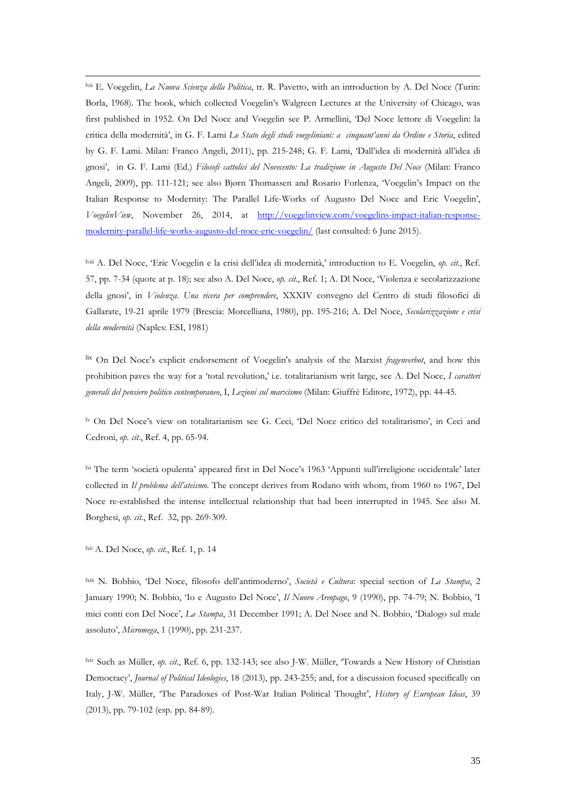lvii E. Voegelin, *La Nuova Scienza della Politica*, tr. R. Pavetto, with an introduction by A. Del Noce (Turin: Borla, 1968). The book, which collected Voegelin's Walgreen Lectures at the University of Chicago, was first published in 1952. On Del Noce and Voegelin see P. Armellini, 'Del Noce lettore di Voegelin: la critica della modernità', in G. F. Lami *Lo Stato degli studi voegeliniani: a cinquant'anni da Ordine e Storia*, edited by G. F. Lami. Milan: Franco Angeli, 2011), pp. 215-248; G. F. Lami, 'Dall'idea di modernità all'idea di gnosi', in G. F. Lami (Ed.) *Filosofi cattolici del Novecento: La tradizione in Augusto Del Noce* (Milan: Franco Angeli, 2009), pp. 111-121; see also Bjørn Thomassen and Rosario Forlenza, 'Voegelin's Impact on the Italian Response to Modernity: The Parallel Life-Works of Augusto Del Noce and Eric Voegelin', *VoegelinView*, November 26, 2014, at [http://voegelinview.com/voegelins-impact-italian-response](http://voegelinview.com/voegelins-impact-italian-response-modernity-parallel-life-works-augusto-del-noce-eric-voegelin/)[modernity-parallel-life-works-augusto-del-noce-eric-voegelin/](http://voegelinview.com/voegelins-impact-italian-response-modernity-parallel-life-works-augusto-del-noce-eric-voegelin/) (last consulted: 6 June 2015).

lviii A. Del Noce, 'Eric Voegelin e la crisi dell'idea di modernità,' introduction to E. Voegelin, *op. cit.*, Ref. 57, pp. 7-34 (quote at p. 18); see also A. Del Noce, *op. cit.*, Ref. 1; A. Dl Noce, 'Violenza e secolarizzazione della gnosi', in *Violenza. Una ricera per comprendere*, XXXIV convegno del Centro di studi filosofici di Gallarate, 19-21 aprile 1979 (Brescia: Morcelliana, 1980), pp. 195-216; A. Del Noce, *Secolarizzazione e crisi della modernità* (Naples: ESI, 1981)

lix On Del Noce's explicit endorsement of Voegelin's analysis of the Marxist *fragenverbot*, and how this prohibition paves the way for a 'total revolution,' i.e. totalitarianism writ large, see A. Del Noce, *I caratteri generali del pensiero politico contemporaneo*, I, *Lezioni sul marxismo* (Milan: Giuffrè Editore, 1972), pp. 44-45.

<sup>1x</sup> On Del Noce's view on totalitarianism see G. Ceci, 'Del Noce critico del totalitarismo', in Ceci and Cedroni, *op. cit.*, Ref. 4, pp. 65-94.

lxi The term 'società opulenta' appeared first in Del Noce's 1963 'Appunti sull'irreligione occidentale' later collected in *Il problema dell'ateismo*. The concept derives from Rodano with whom, from 1960 to 1967, Del Noce re-established the intense intellectual relationship that had been interrupted in 1945. See also M. Borghesi, *op. cit.*, Ref. 32, pp. 269-309.

lxii A. Del Noce, *op. cit.*, Ref. 1, p. 14

 $\overline{a}$ 

lxiii N. Bobbio, 'Del Noce, filosofo dell'antimoderno', *Società e Cultura*: special section of *La Stampa*, 2 January 1990; N. Bobbio, 'Io e Augusto Del Noce', *Il Nuovo Areopago*, 9 (1990), pp. 74-79; N. Bobbio, 'I miei conti con Del Noce', *La Stampa*, 31 December 1991; A. Del Noce and N. Bobbio, 'Dialogo sul male assoluto', *Micromega*, 1 (1990), pp. 231-237.

lxiv Such as Müller, *op. cit.*, Ref. 6, pp. 132-143; see also J-W. Müller, 'Towards a New History of Christian Democracy', *Journal of Political Ideologies*, 18 (2013), pp. 243-255; and, for a discussion focused specifically on Italy, J-W. Müller, 'The Paradoxes of Post-War Italian Political Thought', *History of European Ideas*, 39 (2013), pp. 79-102 (esp. pp. 84-89).